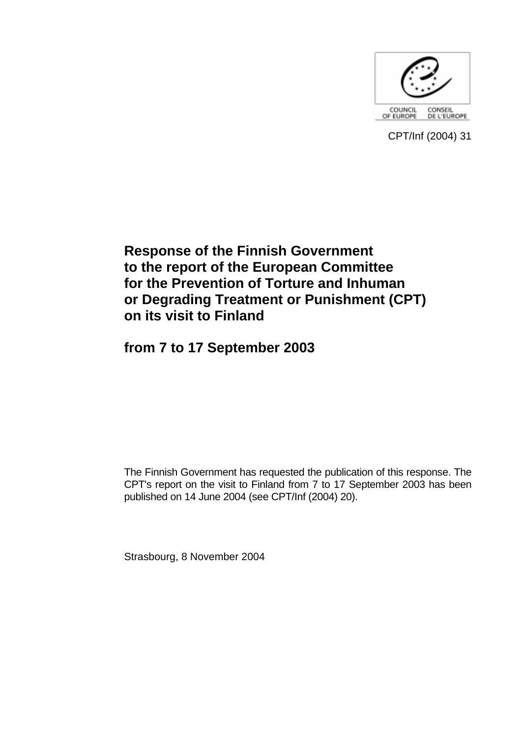

CPT/Inf (2004) 31

# **Response of the Finnish Government to the report of the European Committee for the Prevention of Torture and Inhuman or Degrading Treatment or Punishment (CPT) on its visit to Finland**

**from 7 to 17 September 2003** 

The Finnish Government has requested the publication of this response. The CPT's report on the visit to Finland from 7 to 17 September 2003 has been published on 14 June 2004 (see CPT/Inf (2004) 20).

Strasbourg, 8 November 2004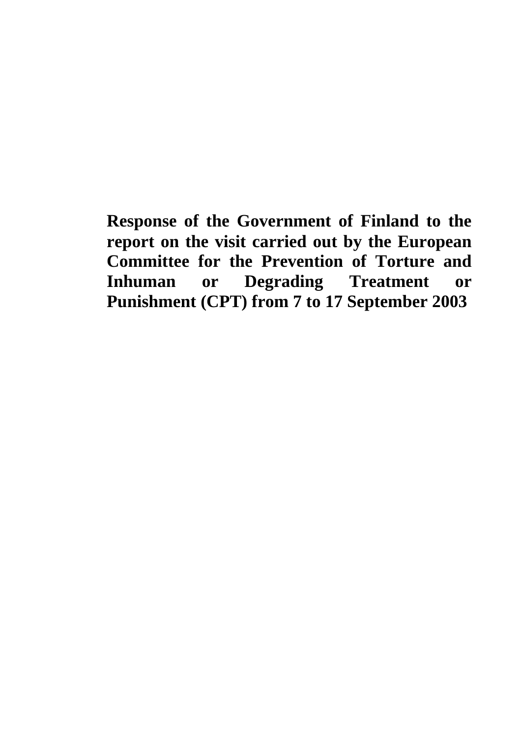**Response of the Government of Finland to the report on the visit carried out by the European Committee for the Prevention of Torture and Inhuman or Degrading Treatment or Punishment (CPT) from 7 to 17 September 2003**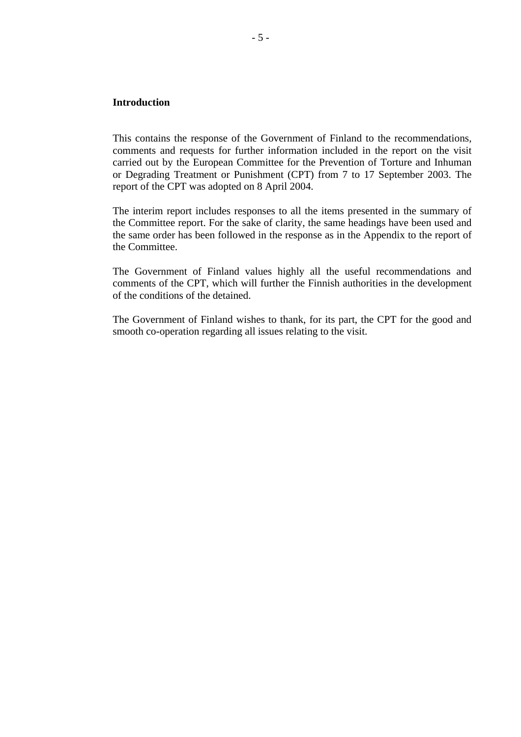# **Introduction**

This contains the response of the Government of Finland to the recommendations, comments and requests for further information included in the report on the visit carried out by the European Committee for the Prevention of Torture and Inhuman or Degrading Treatment or Punishment (CPT) from 7 to 17 September 2003. The report of the CPT was adopted on 8 April 2004.

The interim report includes responses to all the items presented in the summary of the Committee report. For the sake of clarity, the same headings have been used and the same order has been followed in the response as in the Appendix to the report of the Committee.

The Government of Finland values highly all the useful recommendations and comments of the CPT, which will further the Finnish authorities in the development of the conditions of the detained.

The Government of Finland wishes to thank, for its part, the CPT for the good and smooth co-operation regarding all issues relating to the visit.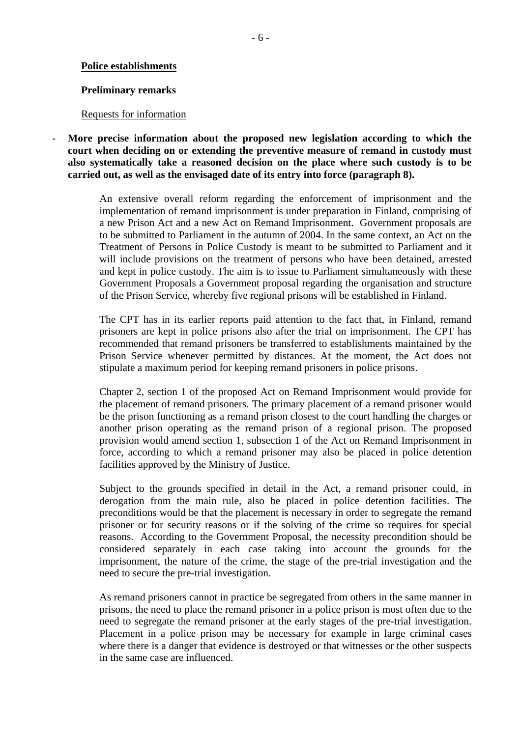#### **Police establishments**

#### **Preliminary remarks**

#### Requests for information

- **More precise information about the proposed new legislation according to which the court when deciding on or extending the preventive measure of remand in custody must also systematically take a reasoned decision on the place where such custody is to be carried out, as well as the envisaged date of its entry into force (paragraph 8).** 

> An extensive overall reform regarding the enforcement of imprisonment and the implementation of remand imprisonment is under preparation in Finland, comprising of a new Prison Act and a new Act on Remand Imprisonment. Government proposals are to be submitted to Parliament in the autumn of 2004. In the same context, an Act on the Treatment of Persons in Police Custody is meant to be submitted to Parliament and it will include provisions on the treatment of persons who have been detained, arrested and kept in police custody. The aim is to issue to Parliament simultaneously with these Government Proposals a Government proposal regarding the organisation and structure of the Prison Service, whereby five regional prisons will be established in Finland.

> The CPT has in its earlier reports paid attention to the fact that, in Finland, remand prisoners are kept in police prisons also after the trial on imprisonment. The CPT has recommended that remand prisoners be transferred to establishments maintained by the Prison Service whenever permitted by distances. At the moment, the Act does not stipulate a maximum period for keeping remand prisoners in police prisons.

> Chapter 2, section 1 of the proposed Act on Remand Imprisonment would provide for the placement of remand prisoners. The primary placement of a remand prisoner would be the prison functioning as a remand prison closest to the court handling the charges or another prison operating as the remand prison of a regional prison. The proposed provision would amend section 1, subsection 1 of the Act on Remand Imprisonment in force, according to which a remand prisoner may also be placed in police detention facilities approved by the Ministry of Justice.

> Subject to the grounds specified in detail in the Act, a remand prisoner could, in derogation from the main rule, also be placed in police detention facilities. The preconditions would be that the placement is necessary in order to segregate the remand prisoner or for security reasons or if the solving of the crime so requires for special reasons. According to the Government Proposal, the necessity precondition should be considered separately in each case taking into account the grounds for the imprisonment, the nature of the crime, the stage of the pre-trial investigation and the need to secure the pre-trial investigation.

> As remand prisoners cannot in practice be segregated from others in the same manner in prisons, the need to place the remand prisoner in a police prison is most often due to the need to segregate the remand prisoner at the early stages of the pre-trial investigation. Placement in a police prison may be necessary for example in large criminal cases where there is a danger that evidence is destroyed or that witnesses or the other suspects in the same case are influenced.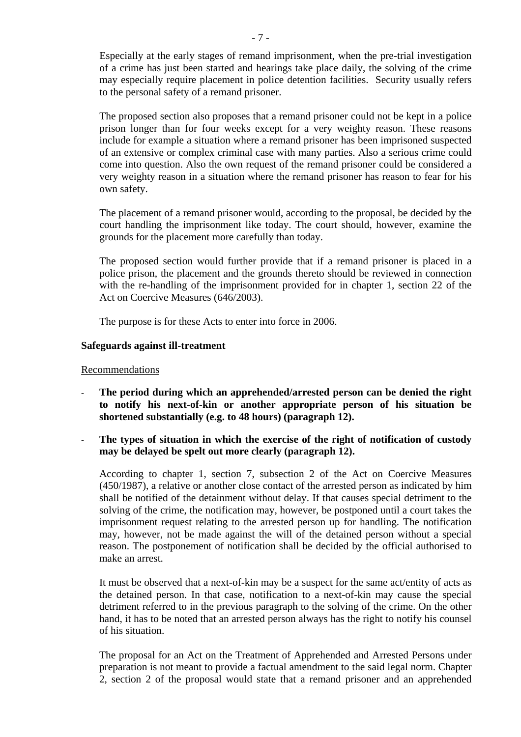Especially at the early stages of remand imprisonment, when the pre-trial investigation of a crime has just been started and hearings take place daily, the solving of the crime may especially require placement in police detention facilities. Security usually refers to the personal safety of a remand prisoner.

The proposed section also proposes that a remand prisoner could not be kept in a police prison longer than for four weeks except for a very weighty reason. These reasons include for example a situation where a remand prisoner has been imprisoned suspected of an extensive or complex criminal case with many parties. Also a serious crime could come into question. Also the own request of the remand prisoner could be considered a very weighty reason in a situation where the remand prisoner has reason to fear for his own safety.

The placement of a remand prisoner would, according to the proposal, be decided by the court handling the imprisonment like today. The court should, however, examine the grounds for the placement more carefully than today.

The proposed section would further provide that if a remand prisoner is placed in a police prison, the placement and the grounds thereto should be reviewed in connection with the re-handling of the imprisonment provided for in chapter 1, section 22 of the Act on Coercive Measures (646/2003).

The purpose is for these Acts to enter into force in 2006.

# **Safeguards against ill-treatment**

#### Recommendations

- The period during which an apprehended/arrested person can be denied the right **to notify his next-of-kin or another appropriate person of his situation be shortened substantially (e.g. to 48 hours) (paragraph 12).**
- The types of situation in which the exercise of the right of notification of custody **may be delayed be spelt out more clearly (paragraph 12).**

According to chapter 1, section 7, subsection 2 of the Act on Coercive Measures (450/1987), a relative or another close contact of the arrested person as indicated by him shall be notified of the detainment without delay. If that causes special detriment to the solving of the crime, the notification may, however, be postponed until a court takes the imprisonment request relating to the arrested person up for handling. The notification may, however, not be made against the will of the detained person without a special reason. The postponement of notification shall be decided by the official authorised to make an arrest.

It must be observed that a next-of-kin may be a suspect for the same act/entity of acts as the detained person. In that case, notification to a next-of-kin may cause the special detriment referred to in the previous paragraph to the solving of the crime. On the other hand, it has to be noted that an arrested person always has the right to notify his counsel of his situation.

The proposal for an Act on the Treatment of Apprehended and Arrested Persons under preparation is not meant to provide a factual amendment to the said legal norm. Chapter 2, section 2 of the proposal would state that a remand prisoner and an apprehended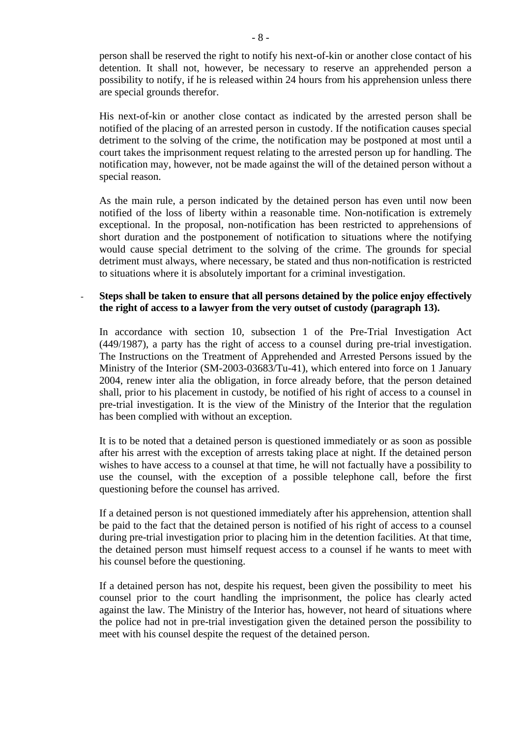person shall be reserved the right to notify his next-of-kin or another close contact of his detention. It shall not, however, be necessary to reserve an apprehended person a possibility to notify, if he is released within 24 hours from his apprehension unless there are special grounds therefor.

His next-of-kin or another close contact as indicated by the arrested person shall be notified of the placing of an arrested person in custody. If the notification causes special detriment to the solving of the crime, the notification may be postponed at most until a court takes the imprisonment request relating to the arrested person up for handling. The notification may, however, not be made against the will of the detained person without a special reason.

As the main rule, a person indicated by the detained person has even until now been notified of the loss of liberty within a reasonable time. Non-notification is extremely exceptional. In the proposal, non-notification has been restricted to apprehensions of short duration and the postponement of notification to situations where the notifying would cause special detriment to the solving of the crime. The grounds for special detriment must always, where necessary, be stated and thus non-notification is restricted to situations where it is absolutely important for a criminal investigation.

# - **Steps shall be taken to ensure that all persons detained by the police enjoy effectively the right of access to a lawyer from the very outset of custody (paragraph 13).**

In accordance with section 10, subsection 1 of the Pre-Trial Investigation Act (449/1987), a party has the right of access to a counsel during pre-trial investigation. The Instructions on the Treatment of Apprehended and Arrested Persons issued by the Ministry of the Interior (SM-2003-03683/Tu-41), which entered into force on 1 January 2004, renew inter alia the obligation, in force already before, that the person detained shall, prior to his placement in custody, be notified of his right of access to a counsel in pre-trial investigation. It is the view of the Ministry of the Interior that the regulation has been complied with without an exception.

It is to be noted that a detained person is questioned immediately or as soon as possible after his arrest with the exception of arrests taking place at night. If the detained person wishes to have access to a counsel at that time, he will not factually have a possibility to use the counsel, with the exception of a possible telephone call, before the first questioning before the counsel has arrived.

If a detained person is not questioned immediately after his apprehension, attention shall be paid to the fact that the detained person is notified of his right of access to a counsel during pre-trial investigation prior to placing him in the detention facilities. At that time, the detained person must himself request access to a counsel if he wants to meet with his counsel before the questioning.

If a detained person has not, despite his request, been given the possibility to meet his counsel prior to the court handling the imprisonment, the police has clearly acted against the law. The Ministry of the Interior has, however, not heard of situations where the police had not in pre-trial investigation given the detained person the possibility to meet with his counsel despite the request of the detained person.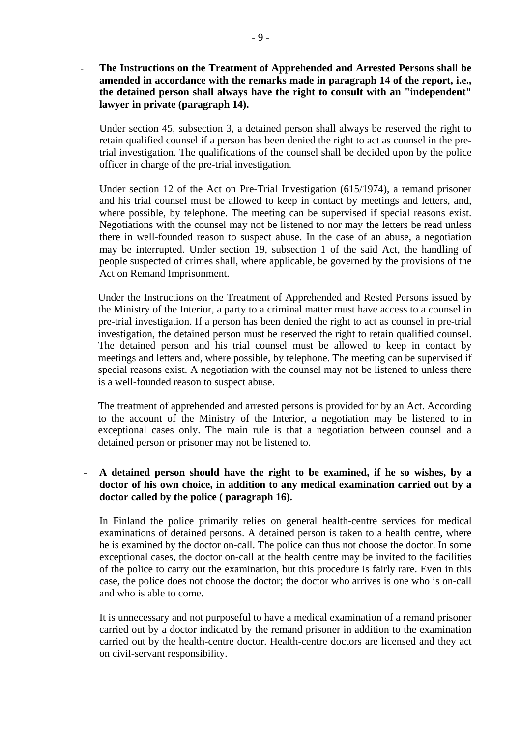**The Instructions on the Treatment of Apprehended and Arrested Persons shall be amended in accordance with the remarks made in paragraph 14 of the report, i.e., the detained person shall always have the right to consult with an "independent" lawyer in private (paragraph 14).**

Under section 45, subsection 3, a detained person shall always be reserved the right to retain qualified counsel if a person has been denied the right to act as counsel in the pretrial investigation. The qualifications of the counsel shall be decided upon by the police officer in charge of the pre-trial investigation.

Under section 12 of the Act on Pre-Trial Investigation (615/1974), a remand prisoner and his trial counsel must be allowed to keep in contact by meetings and letters, and, where possible, by telephone. The meeting can be supervised if special reasons exist. Negotiations with the counsel may not be listened to nor may the letters be read unless there in well-founded reason to suspect abuse. In the case of an abuse, a negotiation may be interrupted. Under section 19, subsection 1 of the said Act, the handling of people suspected of crimes shall, where applicable, be governed by the provisions of the Act on Remand Imprisonment.

Under the Instructions on the Treatment of Apprehended and Rested Persons issued by the Ministry of the Interior, a party to a criminal matter must have access to a counsel in pre-trial investigation. If a person has been denied the right to act as counsel in pre-trial investigation, the detained person must be reserved the right to retain qualified counsel. The detained person and his trial counsel must be allowed to keep in contact by meetings and letters and, where possible, by telephone. The meeting can be supervised if special reasons exist. A negotiation with the counsel may not be listened to unless there is a well-founded reason to suspect abuse.

The treatment of apprehended and arrested persons is provided for by an Act. According to the account of the Ministry of the Interior, a negotiation may be listened to in exceptional cases only. The main rule is that a negotiation between counsel and a detained person or prisoner may not be listened to.

#### - **A detained person should have the right to be examined, if he so wishes, by a doctor of his own choice, in addition to any medical examination carried out by a doctor called by the police ( paragraph 16).**

In Finland the police primarily relies on general health-centre services for medical examinations of detained persons. A detained person is taken to a health centre, where he is examined by the doctor on-call. The police can thus not choose the doctor. In some exceptional cases, the doctor on-call at the health centre may be invited to the facilities of the police to carry out the examination, but this procedure is fairly rare. Even in this case, the police does not choose the doctor; the doctor who arrives is one who is on-call and who is able to come.

It is unnecessary and not purposeful to have a medical examination of a remand prisoner carried out by a doctor indicated by the remand prisoner in addition to the examination carried out by the health-centre doctor. Health-centre doctors are licensed and they act on civil-servant responsibility.

-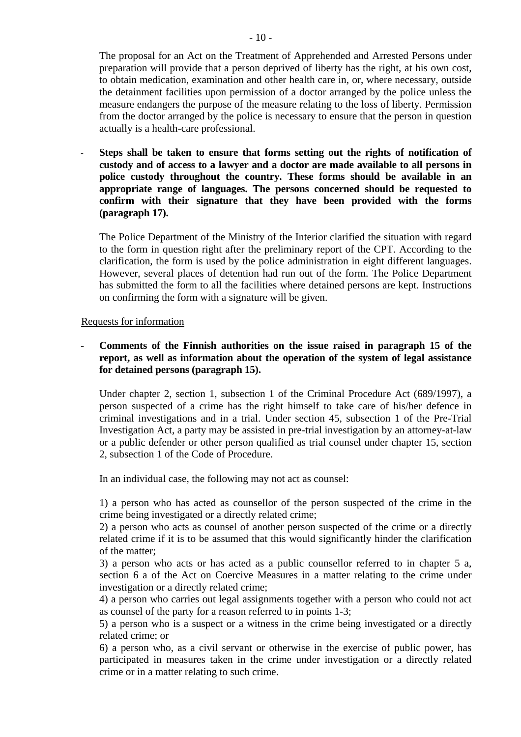The proposal for an Act on the Treatment of Apprehended and Arrested Persons under preparation will provide that a person deprived of liberty has the right, at his own cost, to obtain medication, examination and other health care in, or, where necessary, outside the detainment facilities upon permission of a doctor arranged by the police unless the measure endangers the purpose of the measure relating to the loss of liberty. Permission from the doctor arranged by the police is necessary to ensure that the person in question actually is a health-care professional.

- **Steps shall be taken to ensure that forms setting out the rights of notification of custody and of access to a lawyer and a doctor are made available to all persons in police custody throughout the country. These forms should be available in an appropriate range of languages. The persons concerned should be requested to confirm with their signature that they have been provided with the forms (paragraph 17).**

The Police Department of the Ministry of the Interior clarified the situation with regard to the form in question right after the preliminary report of the CPT. According to the clarification, the form is used by the police administration in eight different languages. However, several places of detention had run out of the form. The Police Department has submitted the form to all the facilities where detained persons are kept. Instructions on confirming the form with a signature will be given.

# Requests for information

- **Comments of the Finnish authorities on the issue raised in paragraph 15 of the report, as well as information about the operation of the system of legal assistance for detained persons (paragraph 15).** 

Under chapter 2, section 1, subsection 1 of the Criminal Procedure Act (689/1997), a person suspected of a crime has the right himself to take care of his/her defence in criminal investigations and in a trial. Under section 45, subsection 1 of the Pre-Trial Investigation Act, a party may be assisted in pre-trial investigation by an attorney-at-law or a public defender or other person qualified as trial counsel under chapter 15, section 2, subsection 1 of the Code of Procedure.

In an individual case, the following may not act as counsel:

1) a person who has acted as counsellor of the person suspected of the crime in the crime being investigated or a directly related crime;

2) a person who acts as counsel of another person suspected of the crime or a directly related crime if it is to be assumed that this would significantly hinder the clarification of the matter;

3) a person who acts or has acted as a public counsellor referred to in chapter 5 a, section 6 a of the Act on Coercive Measures in a matter relating to the crime under investigation or a directly related crime;

4) a person who carries out legal assignments together with a person who could not act as counsel of the party for a reason referred to in points 1-3;

5) a person who is a suspect or a witness in the crime being investigated or a directly related crime; or

6) a person who, as a civil servant or otherwise in the exercise of public power, has participated in measures taken in the crime under investigation or a directly related crime or in a matter relating to such crime.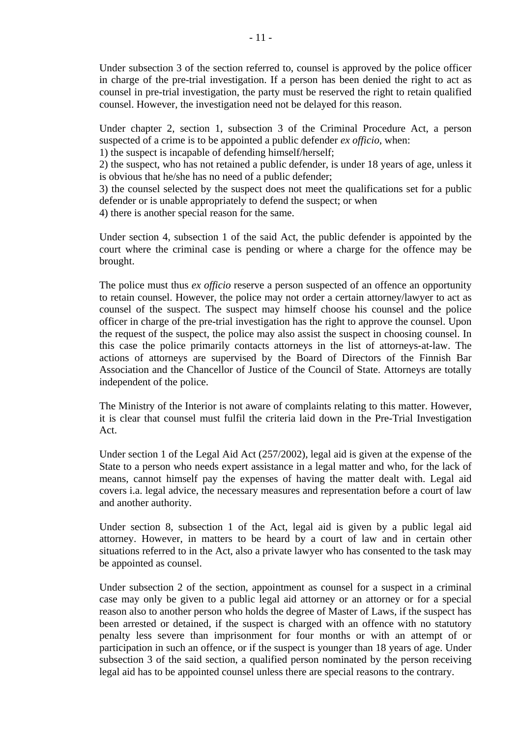Under subsection 3 of the section referred to, counsel is approved by the police officer in charge of the pre-trial investigation. If a person has been denied the right to act as counsel in pre-trial investigation, the party must be reserved the right to retain qualified counsel. However, the investigation need not be delayed for this reason.

Under chapter 2, section 1, subsection 3 of the Criminal Procedure Act, a person suspected of a crime is to be appointed a public defender *ex officio*, when:

1) the suspect is incapable of defending himself/herself;

2) the suspect, who has not retained a public defender, is under 18 years of age, unless it is obvious that he/she has no need of a public defender;

3) the counsel selected by the suspect does not meet the qualifications set for a public defender or is unable appropriately to defend the suspect; or when

4) there is another special reason for the same.

Under section 4, subsection 1 of the said Act, the public defender is appointed by the court where the criminal case is pending or where a charge for the offence may be brought.

The police must thus *ex officio* reserve a person suspected of an offence an opportunity to retain counsel. However, the police may not order a certain attorney/lawyer to act as counsel of the suspect. The suspect may himself choose his counsel and the police officer in charge of the pre-trial investigation has the right to approve the counsel. Upon the request of the suspect, the police may also assist the suspect in choosing counsel. In this case the police primarily contacts attorneys in the list of attorneys-at-law. The actions of attorneys are supervised by the Board of Directors of the Finnish Bar Association and the Chancellor of Justice of the Council of State. Attorneys are totally independent of the police.

The Ministry of the Interior is not aware of complaints relating to this matter. However, it is clear that counsel must fulfil the criteria laid down in the Pre-Trial Investigation Act.

Under section 1 of the Legal Aid Act (257/2002), legal aid is given at the expense of the State to a person who needs expert assistance in a legal matter and who, for the lack of means, cannot himself pay the expenses of having the matter dealt with. Legal aid covers i.a. legal advice, the necessary measures and representation before a court of law and another authority.

Under section 8, subsection 1 of the Act, legal aid is given by a public legal aid attorney. However, in matters to be heard by a court of law and in certain other situations referred to in the Act, also a private lawyer who has consented to the task may be appointed as counsel.

Under subsection 2 of the section, appointment as counsel for a suspect in a criminal case may only be given to a public legal aid attorney or an attorney or for a special reason also to another person who holds the degree of Master of Laws, if the suspect has been arrested or detained, if the suspect is charged with an offence with no statutory penalty less severe than imprisonment for four months or with an attempt of or participation in such an offence, or if the suspect is younger than 18 years of age. Under subsection 3 of the said section, a qualified person nominated by the person receiving legal aid has to be appointed counsel unless there are special reasons to the contrary.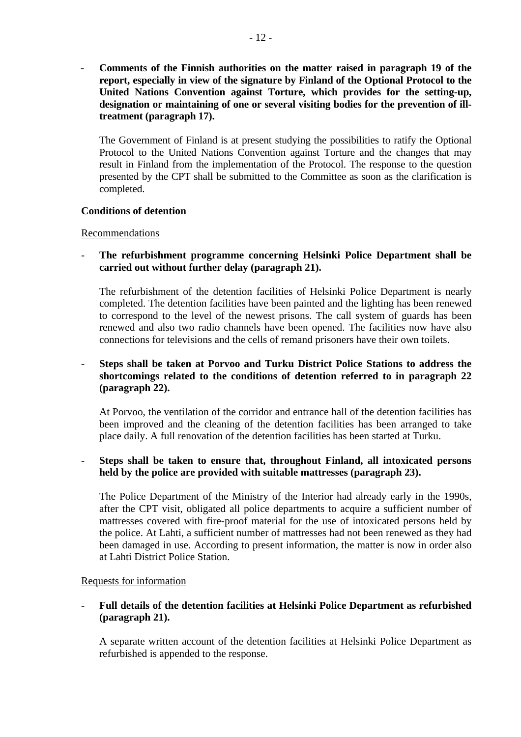- **Comments of the Finnish authorities on the matter raised in paragraph 19 of the report, especially in view of the signature by Finland of the Optional Protocol to the United Nations Convention against Torture, which provides for the setting-up, designation or maintaining of one or several visiting bodies for the prevention of illtreatment (paragraph 17).** 

The Government of Finland is at present studying the possibilities to ratify the Optional Protocol to the United Nations Convention against Torture and the changes that may result in Finland from the implementation of the Protocol. The response to the question presented by the CPT shall be submitted to the Committee as soon as the clarification is completed.

# **Conditions of detention**

# Recommendations

- **The refurbishment programme concerning Helsinki Police Department shall be carried out without further delay (paragraph 21).** 

The refurbishment of the detention facilities of Helsinki Police Department is nearly completed. The detention facilities have been painted and the lighting has been renewed to correspond to the level of the newest prisons. The call system of guards has been renewed and also two radio channels have been opened. The facilities now have also connections for televisions and the cells of remand prisoners have their own toilets.

# - **Steps shall be taken at Porvoo and Turku District Police Stations to address the shortcomings related to the conditions of detention referred to in paragraph 22 (paragraph 22).**

At Porvoo, the ventilation of the corridor and entrance hall of the detention facilities has been improved and the cleaning of the detention facilities has been arranged to take place daily. A full renovation of the detention facilities has been started at Turku.

# - **Steps shall be taken to ensure that, throughout Finland, all intoxicated persons held by the police are provided with suitable mattresses (paragraph 23).**

The Police Department of the Ministry of the Interior had already early in the 1990s, after the CPT visit, obligated all police departments to acquire a sufficient number of mattresses covered with fire-proof material for the use of intoxicated persons held by the police. At Lahti, a sufficient number of mattresses had not been renewed as they had been damaged in use. According to present information, the matter is now in order also at Lahti District Police Station.

# Requests for information

# - **Full details of the detention facilities at Helsinki Police Department as refurbished (paragraph 21).**

A separate written account of the detention facilities at Helsinki Police Department as refurbished is appended to the response.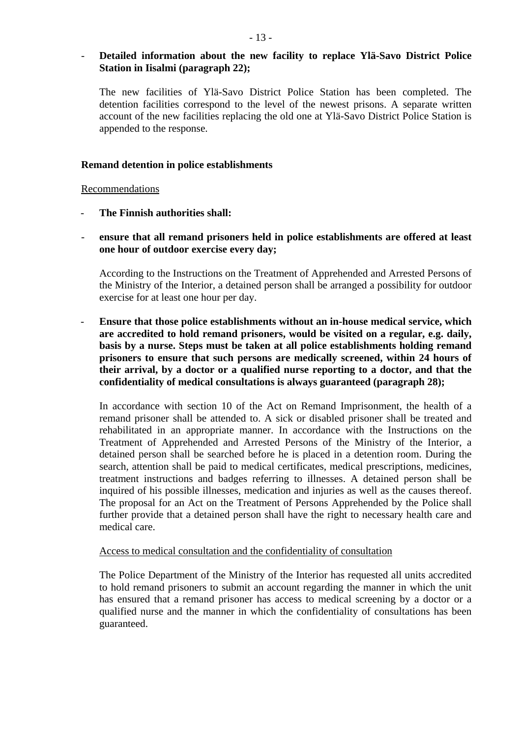# - **Detailed information about the new facility to replace Ylä-Savo District Police Station in Iisalmi (paragraph 22);**

The new facilities of Ylä-Savo District Police Station has been completed. The detention facilities correspond to the level of the newest prisons. A separate written account of the new facilities replacing the old one at Ylä-Savo District Police Station is appended to the response.

#### **Remand detention in police establishments**

# Recommendations

- **The Finnish authorities shall:**
- **ensure that all remand prisoners held in police establishments are offered at least one hour of outdoor exercise every day;**

According to the Instructions on the Treatment of Apprehended and Arrested Persons of the Ministry of the Interior, a detained person shall be arranged a possibility for outdoor exercise for at least one hour per day.

- **Ensure that those police establishments without an in-house medical service, which are accredited to hold remand prisoners, would be visited on a regular, e.g. daily, basis by a nurse. Steps must be taken at all police establishments holding remand prisoners to ensure that such persons are medically screened, within 24 hours of their arrival, by a doctor or a qualified nurse reporting to a doctor, and that the confidentiality of medical consultations is always guaranteed (paragraph 28);** 

In accordance with section 10 of the Act on Remand Imprisonment, the health of a remand prisoner shall be attended to. A sick or disabled prisoner shall be treated and rehabilitated in an appropriate manner. In accordance with the Instructions on the Treatment of Apprehended and Arrested Persons of the Ministry of the Interior, a detained person shall be searched before he is placed in a detention room. During the search, attention shall be paid to medical certificates, medical prescriptions, medicines, treatment instructions and badges referring to illnesses. A detained person shall be inquired of his possible illnesses, medication and injuries as well as the causes thereof. The proposal for an Act on the Treatment of Persons Apprehended by the Police shall further provide that a detained person shall have the right to necessary health care and medical care.

#### Access to medical consultation and the confidentiality of consultation

The Police Department of the Ministry of the Interior has requested all units accredited to hold remand prisoners to submit an account regarding the manner in which the unit has ensured that a remand prisoner has access to medical screening by a doctor or a qualified nurse and the manner in which the confidentiality of consultations has been guaranteed.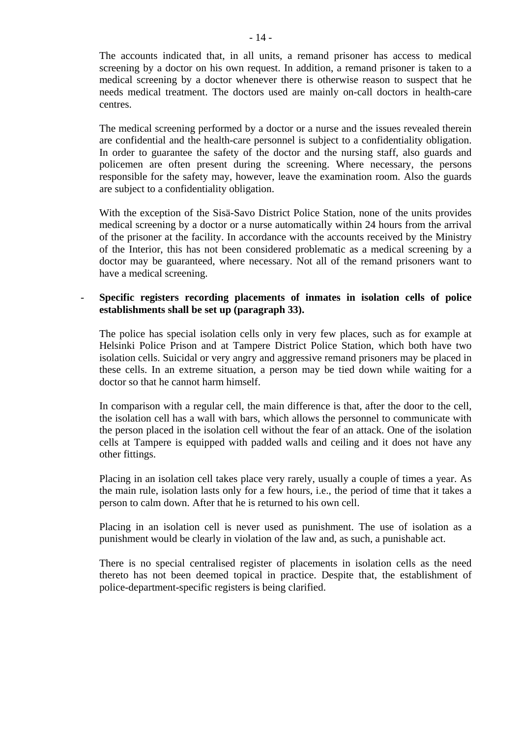The accounts indicated that, in all units, a remand prisoner has access to medical screening by a doctor on his own request. In addition, a remand prisoner is taken to a medical screening by a doctor whenever there is otherwise reason to suspect that he needs medical treatment. The doctors used are mainly on-call doctors in health-care centres.

The medical screening performed by a doctor or a nurse and the issues revealed therein are confidential and the health-care personnel is subject to a confidentiality obligation. In order to guarantee the safety of the doctor and the nursing staff, also guards and policemen are often present during the screening. Where necessary, the persons responsible for the safety may, however, leave the examination room. Also the guards are subject to a confidentiality obligation.

With the exception of the Sisä-Savo District Police Station, none of the units provides medical screening by a doctor or a nurse automatically within 24 hours from the arrival of the prisoner at the facility. In accordance with the accounts received by the Ministry of the Interior, this has not been considered problematic as a medical screening by a doctor may be guaranteed, where necessary. Not all of the remand prisoners want to have a medical screening.

# - **Specific registers recording placements of inmates in isolation cells of police establishments shall be set up (paragraph 33).**

The police has special isolation cells only in very few places, such as for example at Helsinki Police Prison and at Tampere District Police Station, which both have two isolation cells. Suicidal or very angry and aggressive remand prisoners may be placed in these cells. In an extreme situation, a person may be tied down while waiting for a doctor so that he cannot harm himself.

In comparison with a regular cell, the main difference is that, after the door to the cell, the isolation cell has a wall with bars, which allows the personnel to communicate with the person placed in the isolation cell without the fear of an attack. One of the isolation cells at Tampere is equipped with padded walls and ceiling and it does not have any other fittings.

Placing in an isolation cell takes place very rarely, usually a couple of times a year. As the main rule, isolation lasts only for a few hours, i.e., the period of time that it takes a person to calm down. After that he is returned to his own cell.

Placing in an isolation cell is never used as punishment. The use of isolation as a punishment would be clearly in violation of the law and, as such, a punishable act.

There is no special centralised register of placements in isolation cells as the need thereto has not been deemed topical in practice. Despite that, the establishment of police-department-specific registers is being clarified.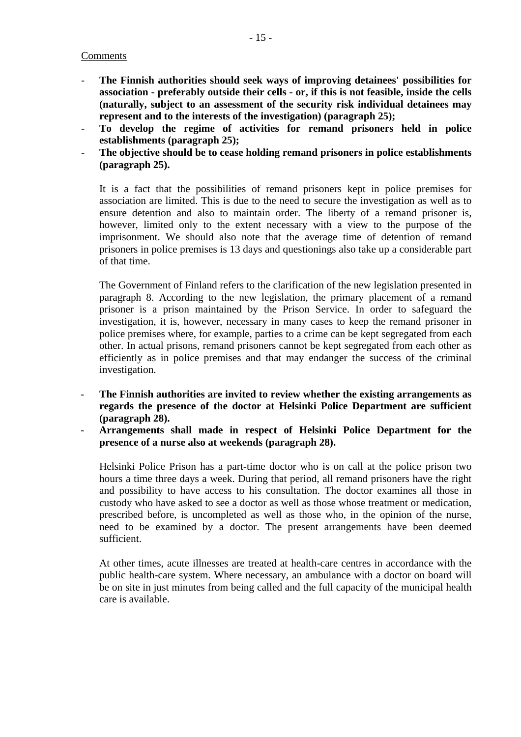# Comments

- **The Finnish authorities should seek ways of improving detainees' possibilities for association - preferably outside their cells - or, if this is not feasible, inside the cells (naturally, subject to an assessment of the security risk individual detainees may represent and to the interests of the investigation) (paragraph 25);**
- **To develop the regime of activities for remand prisoners held in police establishments (paragraph 25);**
- The objective should be to cease holding remand prisoners in police establishments **(paragraph 25).**

It is a fact that the possibilities of remand prisoners kept in police premises for association are limited. This is due to the need to secure the investigation as well as to ensure detention and also to maintain order. The liberty of a remand prisoner is, however, limited only to the extent necessary with a view to the purpose of the imprisonment. We should also note that the average time of detention of remand prisoners in police premises is 13 days and questionings also take up a considerable part of that time.

The Government of Finland refers to the clarification of the new legislation presented in paragraph 8. According to the new legislation, the primary placement of a remand prisoner is a prison maintained by the Prison Service. In order to safeguard the investigation, it is, however, necessary in many cases to keep the remand prisoner in police premises where, for example, parties to a crime can be kept segregated from each other. In actual prisons, remand prisoners cannot be kept segregated from each other as efficiently as in police premises and that may endanger the success of the criminal investigation.

- **The Finnish authorities are invited to review whether the existing arrangements as regards the presence of the doctor at Helsinki Police Department are sufficient (paragraph 28).**
- **Arrangements shall made in respect of Helsinki Police Department for the presence of a nurse also at weekends (paragraph 28).**

Helsinki Police Prison has a part-time doctor who is on call at the police prison two hours a time three days a week. During that period, all remand prisoners have the right and possibility to have access to his consultation. The doctor examines all those in custody who have asked to see a doctor as well as those whose treatment or medication, prescribed before, is uncompleted as well as those who, in the opinion of the nurse, need to be examined by a doctor. The present arrangements have been deemed sufficient.

At other times, acute illnesses are treated at health-care centres in accordance with the public health-care system. Where necessary, an ambulance with a doctor on board will be on site in just minutes from being called and the full capacity of the municipal health care is available.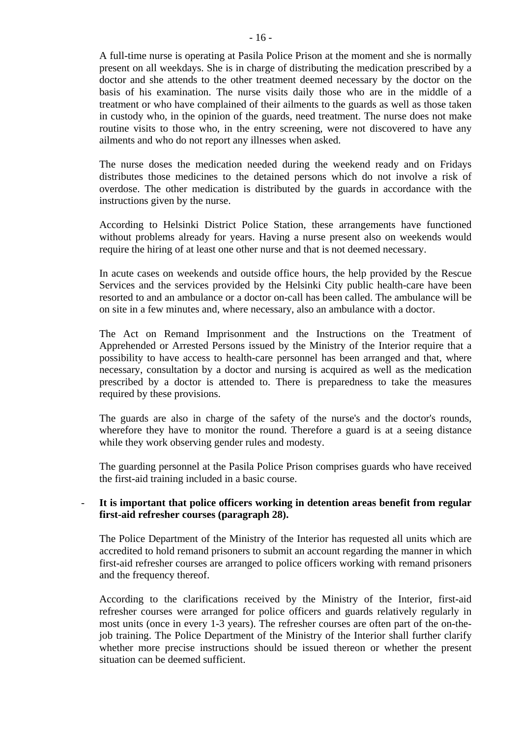A full-time nurse is operating at Pasila Police Prison at the moment and she is normally present on all weekdays. She is in charge of distributing the medication prescribed by a doctor and she attends to the other treatment deemed necessary by the doctor on the basis of his examination. The nurse visits daily those who are in the middle of a treatment or who have complained of their ailments to the guards as well as those taken in custody who, in the opinion of the guards, need treatment. The nurse does not make routine visits to those who, in the entry screening, were not discovered to have any ailments and who do not report any illnesses when asked.

The nurse doses the medication needed during the weekend ready and on Fridays distributes those medicines to the detained persons which do not involve a risk of overdose. The other medication is distributed by the guards in accordance with the instructions given by the nurse.

According to Helsinki District Police Station, these arrangements have functioned without problems already for years. Having a nurse present also on weekends would require the hiring of at least one other nurse and that is not deemed necessary.

In acute cases on weekends and outside office hours, the help provided by the Rescue Services and the services provided by the Helsinki City public health-care have been resorted to and an ambulance or a doctor on-call has been called. The ambulance will be on site in a few minutes and, where necessary, also an ambulance with a doctor.

The Act on Remand Imprisonment and the Instructions on the Treatment of Apprehended or Arrested Persons issued by the Ministry of the Interior require that a possibility to have access to health-care personnel has been arranged and that, where necessary, consultation by a doctor and nursing is acquired as well as the medication prescribed by a doctor is attended to. There is preparedness to take the measures required by these provisions.

The guards are also in charge of the safety of the nurse's and the doctor's rounds, wherefore they have to monitor the round. Therefore a guard is at a seeing distance while they work observing gender rules and modesty.

The guarding personnel at the Pasila Police Prison comprises guards who have received the first-aid training included in a basic course.

# - **It is important that police officers working in detention areas benefit from regular first-aid refresher courses (paragraph 28).**

The Police Department of the Ministry of the Interior has requested all units which are accredited to hold remand prisoners to submit an account regarding the manner in which first-aid refresher courses are arranged to police officers working with remand prisoners and the frequency thereof.

According to the clarifications received by the Ministry of the Interior, first-aid refresher courses were arranged for police officers and guards relatively regularly in most units (once in every 1-3 years). The refresher courses are often part of the on-thejob training. The Police Department of the Ministry of the Interior shall further clarify whether more precise instructions should be issued thereon or whether the present situation can be deemed sufficient.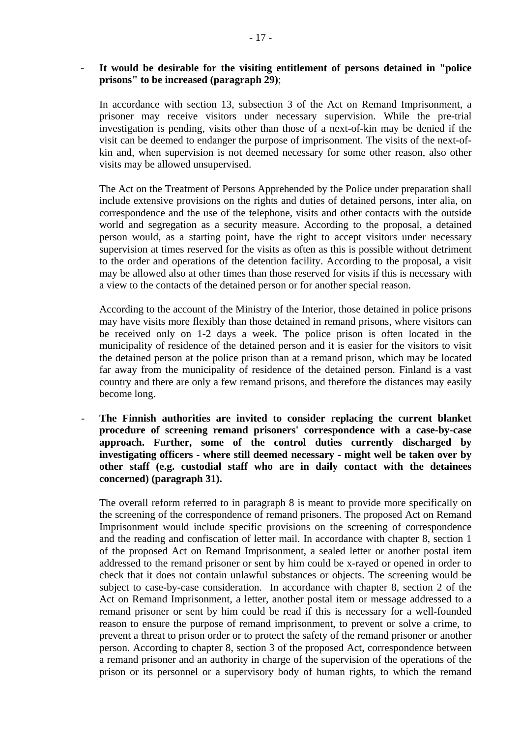# - **It would be desirable for the visiting entitlement of persons detained in "police prisons" to be increased (paragraph 29)**;

In accordance with section 13, subsection 3 of the Act on Remand Imprisonment, a prisoner may receive visitors under necessary supervision. While the pre-trial investigation is pending, visits other than those of a next-of-kin may be denied if the visit can be deemed to endanger the purpose of imprisonment. The visits of the next-ofkin and, when supervision is not deemed necessary for some other reason, also other visits may be allowed unsupervised.

The Act on the Treatment of Persons Apprehended by the Police under preparation shall include extensive provisions on the rights and duties of detained persons, inter alia, on correspondence and the use of the telephone, visits and other contacts with the outside world and segregation as a security measure. According to the proposal, a detained person would, as a starting point, have the right to accept visitors under necessary supervision at times reserved for the visits as often as this is possible without detriment to the order and operations of the detention facility. According to the proposal, a visit may be allowed also at other times than those reserved for visits if this is necessary with a view to the contacts of the detained person or for another special reason.

According to the account of the Ministry of the Interior, those detained in police prisons may have visits more flexibly than those detained in remand prisons, where visitors can be received only on 1-2 days a week. The police prison is often located in the municipality of residence of the detained person and it is easier for the visitors to visit the detained person at the police prison than at a remand prison, which may be located far away from the municipality of residence of the detained person. Finland is a vast country and there are only a few remand prisons, and therefore the distances may easily become long.

- **The Finnish authorities are invited to consider replacing the current blanket procedure of screening remand prisoners' correspondence with a case-by-case approach. Further, some of the control duties currently discharged by investigating officers - where still deemed necessary - might well be taken over by other staff (e.g. custodial staff who are in daily contact with the detainees concerned) (paragraph 31).** 

The overall reform referred to in paragraph 8 is meant to provide more specifically on the screening of the correspondence of remand prisoners. The proposed Act on Remand Imprisonment would include specific provisions on the screening of correspondence and the reading and confiscation of letter mail. In accordance with chapter 8, section 1 of the proposed Act on Remand Imprisonment, a sealed letter or another postal item addressed to the remand prisoner or sent by him could be x-rayed or opened in order to check that it does not contain unlawful substances or objects. The screening would be subject to case-by-case consideration. In accordance with chapter 8, section 2 of the Act on Remand Imprisonment, a letter, another postal item or message addressed to a remand prisoner or sent by him could be read if this is necessary for a well-founded reason to ensure the purpose of remand imprisonment, to prevent or solve a crime, to prevent a threat to prison order or to protect the safety of the remand prisoner or another person. According to chapter 8, section 3 of the proposed Act, correspondence between a remand prisoner and an authority in charge of the supervision of the operations of the prison or its personnel or a supervisory body of human rights, to which the remand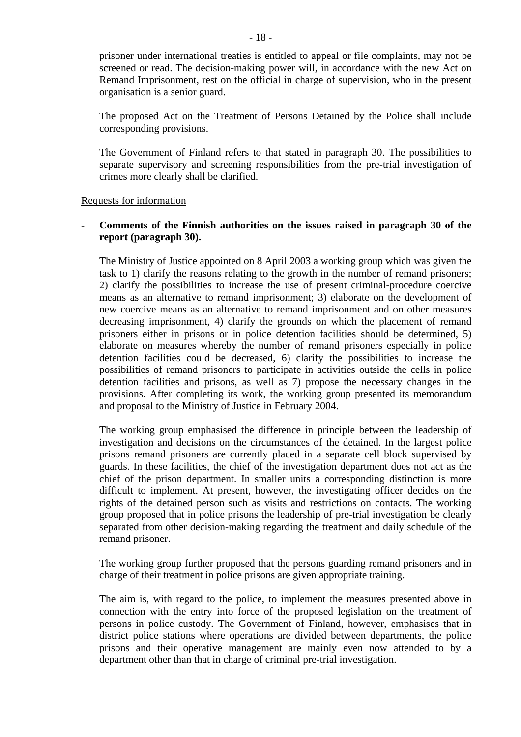prisoner under international treaties is entitled to appeal or file complaints, may not be screened or read. The decision-making power will, in accordance with the new Act on Remand Imprisonment, rest on the official in charge of supervision, who in the present organisation is a senior guard.

The proposed Act on the Treatment of Persons Detained by the Police shall include corresponding provisions.

The Government of Finland refers to that stated in paragraph 30. The possibilities to separate supervisory and screening responsibilities from the pre-trial investigation of crimes more clearly shall be clarified.

#### Requests for information

# - **Comments of the Finnish authorities on the issues raised in paragraph 30 of the report (paragraph 30).**

The Ministry of Justice appointed on 8 April 2003 a working group which was given the task to 1) clarify the reasons relating to the growth in the number of remand prisoners; 2) clarify the possibilities to increase the use of present criminal-procedure coercive means as an alternative to remand imprisonment; 3) elaborate on the development of new coercive means as an alternative to remand imprisonment and on other measures decreasing imprisonment, 4) clarify the grounds on which the placement of remand prisoners either in prisons or in police detention facilities should be determined, 5) elaborate on measures whereby the number of remand prisoners especially in police detention facilities could be decreased, 6) clarify the possibilities to increase the possibilities of remand prisoners to participate in activities outside the cells in police detention facilities and prisons, as well as 7) propose the necessary changes in the provisions. After completing its work, the working group presented its memorandum and proposal to the Ministry of Justice in February 2004.

The working group emphasised the difference in principle between the leadership of investigation and decisions on the circumstances of the detained. In the largest police prisons remand prisoners are currently placed in a separate cell block supervised by guards. In these facilities, the chief of the investigation department does not act as the chief of the prison department. In smaller units a corresponding distinction is more difficult to implement. At present, however, the investigating officer decides on the rights of the detained person such as visits and restrictions on contacts. The working group proposed that in police prisons the leadership of pre-trial investigation be clearly separated from other decision-making regarding the treatment and daily schedule of the remand prisoner.

The working group further proposed that the persons guarding remand prisoners and in charge of their treatment in police prisons are given appropriate training.

The aim is, with regard to the police, to implement the measures presented above in connection with the entry into force of the proposed legislation on the treatment of persons in police custody. The Government of Finland, however, emphasises that in district police stations where operations are divided between departments, the police prisons and their operative management are mainly even now attended to by a department other than that in charge of criminal pre-trial investigation.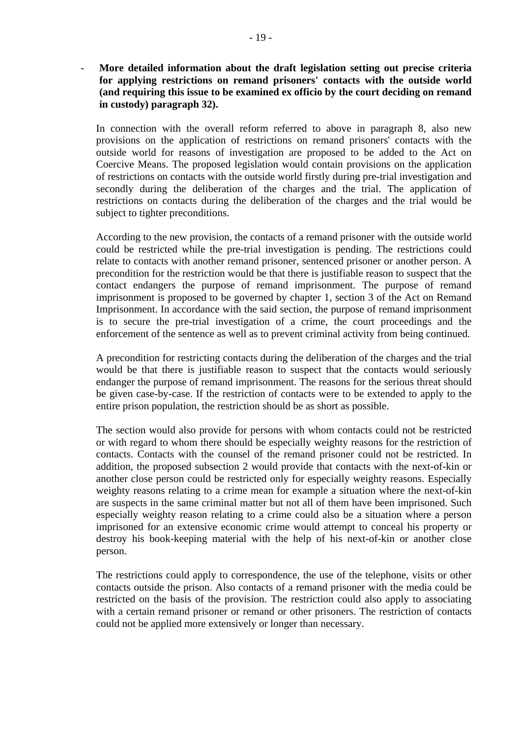- **More detailed information about the draft legislation setting out precise criteria for applying restrictions on remand prisoners' contacts with the outside world (and requiring this issue to be examined ex officio by the court deciding on remand in custody) paragraph 32).** 

In connection with the overall reform referred to above in paragraph 8, also new provisions on the application of restrictions on remand prisoners' contacts with the outside world for reasons of investigation are proposed to be added to the Act on Coercive Means. The proposed legislation would contain provisions on the application of restrictions on contacts with the outside world firstly during pre-trial investigation and secondly during the deliberation of the charges and the trial. The application of restrictions on contacts during the deliberation of the charges and the trial would be subject to tighter preconditions.

According to the new provision, the contacts of a remand prisoner with the outside world could be restricted while the pre-trial investigation is pending. The restrictions could relate to contacts with another remand prisoner, sentenced prisoner or another person. A precondition for the restriction would be that there is justifiable reason to suspect that the contact endangers the purpose of remand imprisonment. The purpose of remand imprisonment is proposed to be governed by chapter 1, section 3 of the Act on Remand Imprisonment. In accordance with the said section, the purpose of remand imprisonment is to secure the pre-trial investigation of a crime, the court proceedings and the enforcement of the sentence as well as to prevent criminal activity from being continued.

A precondition for restricting contacts during the deliberation of the charges and the trial would be that there is justifiable reason to suspect that the contacts would seriously endanger the purpose of remand imprisonment. The reasons for the serious threat should be given case-by-case. If the restriction of contacts were to be extended to apply to the entire prison population, the restriction should be as short as possible.

The section would also provide for persons with whom contacts could not be restricted or with regard to whom there should be especially weighty reasons for the restriction of contacts. Contacts with the counsel of the remand prisoner could not be restricted. In addition, the proposed subsection 2 would provide that contacts with the next-of-kin or another close person could be restricted only for especially weighty reasons. Especially weighty reasons relating to a crime mean for example a situation where the next-of-kin are suspects in the same criminal matter but not all of them have been imprisoned. Such especially weighty reason relating to a crime could also be a situation where a person imprisoned for an extensive economic crime would attempt to conceal his property or destroy his book-keeping material with the help of his next-of-kin or another close person.

The restrictions could apply to correspondence, the use of the telephone, visits or other contacts outside the prison. Also contacts of a remand prisoner with the media could be restricted on the basis of the provision. The restriction could also apply to associating with a certain remand prisoner or remand or other prisoners. The restriction of contacts could not be applied more extensively or longer than necessary.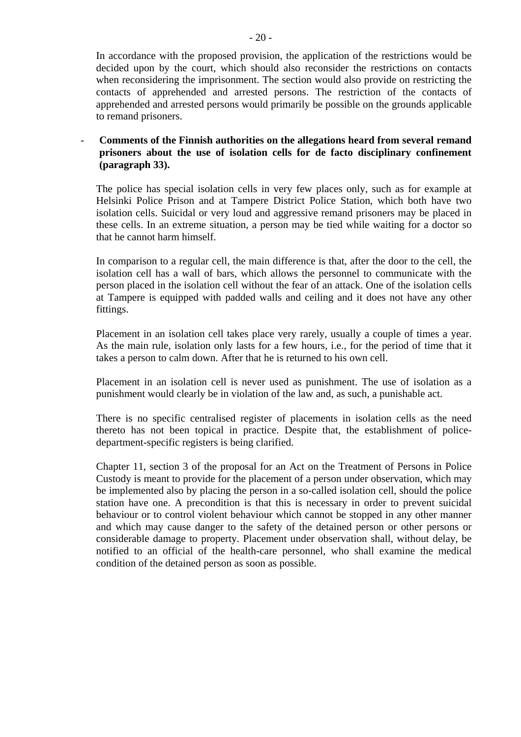In accordance with the proposed provision, the application of the restrictions would be decided upon by the court, which should also reconsider the restrictions on contacts when reconsidering the imprisonment. The section would also provide on restricting the contacts of apprehended and arrested persons. The restriction of the contacts of apprehended and arrested persons would primarily be possible on the grounds applicable to remand prisoners.

- **Comments of the Finnish authorities on the allegations heard from several remand prisoners about the use of isolation cells for de facto disciplinary confinement (paragraph 33).** 

The police has special isolation cells in very few places only, such as for example at Helsinki Police Prison and at Tampere District Police Station, which both have two isolation cells. Suicidal or very loud and aggressive remand prisoners may be placed in these cells. In an extreme situation, a person may be tied while waiting for a doctor so that he cannot harm himself.

In comparison to a regular cell, the main difference is that, after the door to the cell, the isolation cell has a wall of bars, which allows the personnel to communicate with the person placed in the isolation cell without the fear of an attack. One of the isolation cells at Tampere is equipped with padded walls and ceiling and it does not have any other fittings.

Placement in an isolation cell takes place very rarely, usually a couple of times a year. As the main rule, isolation only lasts for a few hours, i.e., for the period of time that it takes a person to calm down. After that he is returned to his own cell.

Placement in an isolation cell is never used as punishment. The use of isolation as a punishment would clearly be in violation of the law and, as such, a punishable act.

There is no specific centralised register of placements in isolation cells as the need thereto has not been topical in practice. Despite that, the establishment of policedepartment-specific registers is being clarified.

Chapter 11, section 3 of the proposal for an Act on the Treatment of Persons in Police Custody is meant to provide for the placement of a person under observation, which may be implemented also by placing the person in a so-called isolation cell, should the police station have one. A precondition is that this is necessary in order to prevent suicidal behaviour or to control violent behaviour which cannot be stopped in any other manner and which may cause danger to the safety of the detained person or other persons or considerable damage to property. Placement under observation shall, without delay, be notified to an official of the health-care personnel, who shall examine the medical condition of the detained person as soon as possible.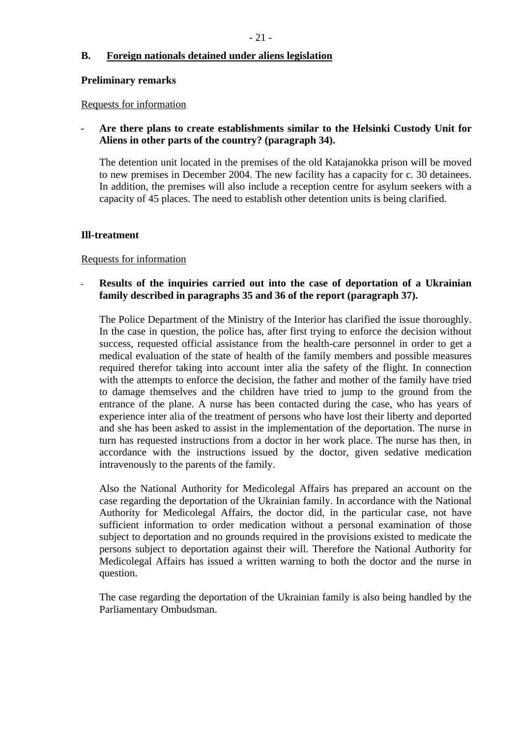# **B. Foreign nationals detained under aliens legislation**

#### **Preliminary remarks**

#### Requests for information

# - **Are there plans to create establishments similar to the Helsinki Custody Unit for Aliens in other parts of the country? (paragraph 34).**

The detention unit located in the premises of the old Katajanokka prison will be moved to new premises in December 2004. The new facility has a capacity for c. 30 detainees. In addition, the premises will also include a reception centre for asylum seekers with a capacity of 45 places. The need to establish other detention units is being clarified.

# **Ill-treatment**

# Requests for information

#### **Results of the inquiries carried out into the case of deportation of a Ukrainian family described in paragraphs 35 and 36 of the report (paragraph 37).** -

The Police Department of the Ministry of the Interior has clarified the issue thoroughly. In the case in question, the police has, after first trying to enforce the decision without success, requested official assistance from the health-care personnel in order to get a medical evaluation of the state of health of the family members and possible measures required therefor taking into account inter alia the safety of the flight. In connection with the attempts to enforce the decision, the father and mother of the family have tried to damage themselves and the children have tried to jump to the ground from the entrance of the plane. A nurse has been contacted during the case, who has years of experience inter alia of the treatment of persons who have lost their liberty and deported and she has been asked to assist in the implementation of the deportation. The nurse in turn has requested instructions from a doctor in her work place. The nurse has then, in accordance with the instructions issued by the doctor, given sedative medication intravenously to the parents of the family.

Also the National Authority for Medicolegal Affairs has prepared an account on the case regarding the deportation of the Ukrainian family. In accordance with the National Authority for Medicolegal Affairs, the doctor did, in the particular case, not have sufficient information to order medication without a personal examination of those subject to deportation and no grounds required in the provisions existed to medicate the persons subject to deportation against their will. Therefore the National Authority for Medicolegal Affairs has issued a written warning to both the doctor and the nurse in question.

The case regarding the deportation of the Ukrainian family is also being handled by the Parliamentary Ombudsman.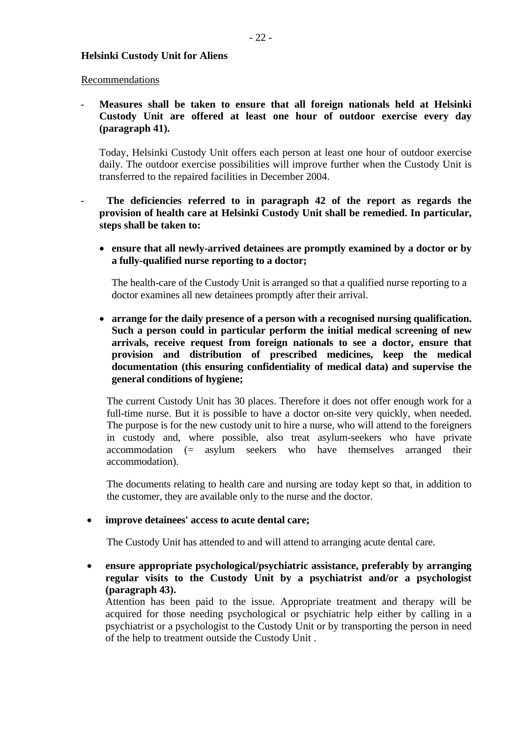#### **Helsinki Custody Unit for Aliens**

#### Recommendations

- **Measures shall be taken to ensure that all foreign nationals held at Helsinki Custody Unit are offered at least one hour of outdoor exercise every day (paragraph 41).** 

Today, Helsinki Custody Unit offers each person at least one hour of outdoor exercise daily. The outdoor exercise possibilities will improve further when the Custody Unit is transferred to the repaired facilities in December 2004.

The deficiencies referred to in paragraph 42 of the report as regards the **provision of health care at Helsinki Custody Unit shall be remedied. In particular, steps shall be taken to:** 

• **ensure that all newly-arrived detainees are promptly examined by a doctor or by a fully-qualified nurse reporting to a doctor;** 

The health-care of the Custody Unit is arranged so that a qualified nurse reporting to a doctor examines all new detainees promptly after their arrival.

• **arrange for the daily presence of a person with a recognised nursing qualification. Such a person could in particular perform the initial medical screening of new arrivals, receive request from foreign nationals to see a doctor, ensure that provision and distribution of prescribed medicines, keep the medical documentation (this ensuring confidentiality of medical data) and supervise the general conditions of hygiene;** 

The current Custody Unit has 30 places. Therefore it does not offer enough work for a full-time nurse. But it is possible to have a doctor on-site very quickly, when needed. The purpose is for the new custody unit to hire a nurse, who will attend to the foreigners in custody and, where possible, also treat asylum-seekers who have private accommodation (= asylum seekers who have themselves arranged their accommodation).

The documents relating to health care and nursing are today kept so that, in addition to the customer, they are available only to the nurse and the doctor.

• **improve detainees' access to acute dental care;** 

The Custody Unit has attended to and will attend to arranging acute dental care.

• **ensure appropriate psychological/psychiatric assistance, preferably by arranging regular visits to the Custody Unit by a psychiatrist and/or a psychologist (paragraph 43).** 

Attention has been paid to the issue. Appropriate treatment and therapy will be acquired for those needing psychological or psychiatric help either by calling in a psychiatrist or a psychologist to the Custody Unit or by transporting the person in need of the help to treatment outside the Custody Unit .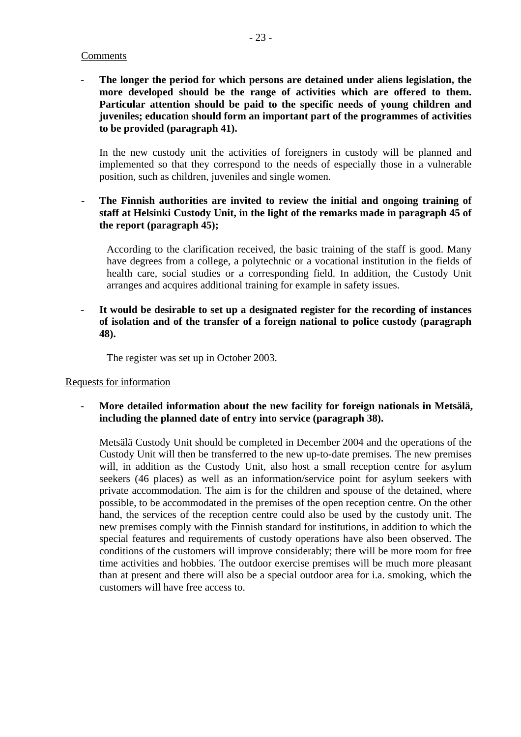# Comments

The longer the period for which persons are detained under aliens legislation, the **more developed should be the range of activities which are offered to them. Particular attention should be paid to the specific needs of young children and juveniles; education should form an important part of the programmes of activities to be provided (paragraph 41).**

In the new custody unit the activities of foreigners in custody will be planned and implemented so that they correspond to the needs of especially those in a vulnerable position, such as children, juveniles and single women.

# **- The Finnish authorities are invited to review the initial and ongoing training of staff at Helsinki Custody Unit, in the light of the remarks made in paragraph 45 of the report (paragraph 45);**

According to the clarification received, the basic training of the staff is good. Many have degrees from a college, a polytechnic or a vocational institution in the fields of health care, social studies or a corresponding field. In addition, the Custody Unit arranges and acquires additional training for example in safety issues.

- **It would be desirable to set up a designated register for the recording of instances of isolation and of the transfer of a foreign national to police custody (paragraph 48).** 

The register was set up in October 2003.

#### Requests for information

More detailed information about the new facility for foreign nationals in Metsälä, **including the planned date of entry into service (paragraph 38).** 

Metsälä Custody Unit should be completed in December 2004 and the operations of the Custody Unit will then be transferred to the new up-to-date premises. The new premises will, in addition as the Custody Unit, also host a small reception centre for asylum seekers (46 places) as well as an information/service point for asylum seekers with private accommodation. The aim is for the children and spouse of the detained, where possible, to be accommodated in the premises of the open reception centre. On the other hand, the services of the reception centre could also be used by the custody unit. The new premises comply with the Finnish standard for institutions, in addition to which the special features and requirements of custody operations have also been observed. The conditions of the customers will improve considerably; there will be more room for free time activities and hobbies. The outdoor exercise premises will be much more pleasant than at present and there will also be a special outdoor area for i.a. smoking, which the customers will have free access to.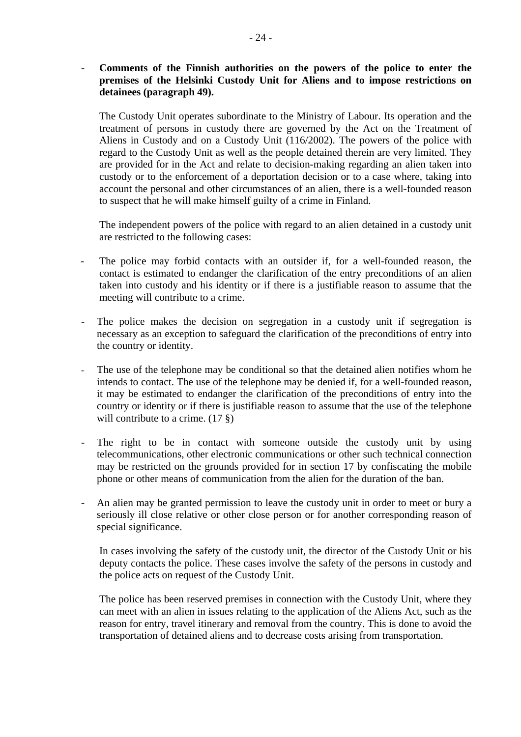- **Comments of the Finnish authorities on the powers of the police to enter the premises of the Helsinki Custody Unit for Aliens and to impose restrictions on detainees (paragraph 49).** 

The Custody Unit operates subordinate to the Ministry of Labour. Its operation and the treatment of persons in custody there are governed by the Act on the Treatment of Aliens in Custody and on a Custody Unit (116/2002). The powers of the police with regard to the Custody Unit as well as the people detained therein are very limited. They are provided for in the Act and relate to decision-making regarding an alien taken into custody or to the enforcement of a deportation decision or to a case where, taking into account the personal and other circumstances of an alien, there is a well-founded reason to suspect that he will make himself guilty of a crime in Finland.

The independent powers of the police with regard to an alien detained in a custody unit are restricted to the following cases:

- The police may forbid contacts with an outsider if, for a well-founded reason, the contact is estimated to endanger the clarification of the entry preconditions of an alien taken into custody and his identity or if there is a justifiable reason to assume that the meeting will contribute to a crime.
- The police makes the decision on segregation in a custody unit if segregation is necessary as an exception to safeguard the clarification of the preconditions of entry into the country or identity.
- The use of the telephone may be conditional so that the detained alien notifies whom he intends to contact. The use of the telephone may be denied if, for a well-founded reason, it may be estimated to endanger the clarification of the preconditions of entry into the country or identity or if there is justifiable reason to assume that the use of the telephone will contribute to a crime.  $(17 \text{ } \text{\&})$
- The right to be in contact with someone outside the custody unit by using telecommunications, other electronic communications or other such technical connection may be restricted on the grounds provided for in section 17 by confiscating the mobile phone or other means of communication from the alien for the duration of the ban.
- An alien may be granted permission to leave the custody unit in order to meet or bury a seriously ill close relative or other close person or for another corresponding reason of special significance.

In cases involving the safety of the custody unit, the director of the Custody Unit or his deputy contacts the police. These cases involve the safety of the persons in custody and the police acts on request of the Custody Unit.

The police has been reserved premises in connection with the Custody Unit, where they can meet with an alien in issues relating to the application of the Aliens Act, such as the reason for entry, travel itinerary and removal from the country. This is done to avoid the transportation of detained aliens and to decrease costs arising from transportation.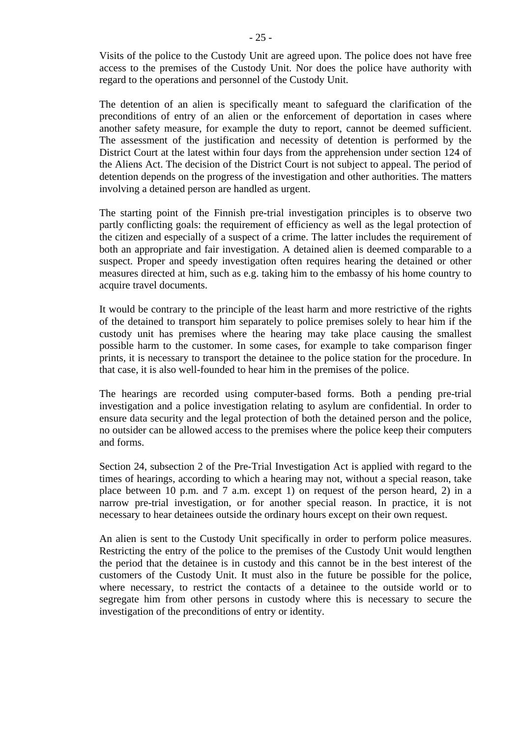Visits of the police to the Custody Unit are agreed upon. The police does not have free access to the premises of the Custody Unit. Nor does the police have authority with regard to the operations and personnel of the Custody Unit.

The detention of an alien is specifically meant to safeguard the clarification of the preconditions of entry of an alien or the enforcement of deportation in cases where another safety measure, for example the duty to report, cannot be deemed sufficient. The assessment of the justification and necessity of detention is performed by the District Court at the latest within four days from the apprehension under section 124 of the Aliens Act. The decision of the District Court is not subject to appeal. The period of detention depends on the progress of the investigation and other authorities. The matters involving a detained person are handled as urgent.

The starting point of the Finnish pre-trial investigation principles is to observe two partly conflicting goals: the requirement of efficiency as well as the legal protection of the citizen and especially of a suspect of a crime. The latter includes the requirement of both an appropriate and fair investigation. A detained alien is deemed comparable to a suspect. Proper and speedy investigation often requires hearing the detained or other measures directed at him, such as e.g. taking him to the embassy of his home country to acquire travel documents.

It would be contrary to the principle of the least harm and more restrictive of the rights of the detained to transport him separately to police premises solely to hear him if the custody unit has premises where the hearing may take place causing the smallest possible harm to the customer. In some cases, for example to take comparison finger prints, it is necessary to transport the detainee to the police station for the procedure. In that case, it is also well-founded to hear him in the premises of the police.

The hearings are recorded using computer-based forms. Both a pending pre-trial investigation and a police investigation relating to asylum are confidential. In order to ensure data security and the legal protection of both the detained person and the police, no outsider can be allowed access to the premises where the police keep their computers and forms.

Section 24, subsection 2 of the Pre-Trial Investigation Act is applied with regard to the times of hearings, according to which a hearing may not, without a special reason, take place between 10 p.m. and 7 a.m. except 1) on request of the person heard, 2) in a narrow pre-trial investigation, or for another special reason. In practice, it is not necessary to hear detainees outside the ordinary hours except on their own request.

An alien is sent to the Custody Unit specifically in order to perform police measures. Restricting the entry of the police to the premises of the Custody Unit would lengthen the period that the detainee is in custody and this cannot be in the best interest of the customers of the Custody Unit. It must also in the future be possible for the police, where necessary, to restrict the contacts of a detainee to the outside world or to segregate him from other persons in custody where this is necessary to secure the investigation of the preconditions of entry or identity.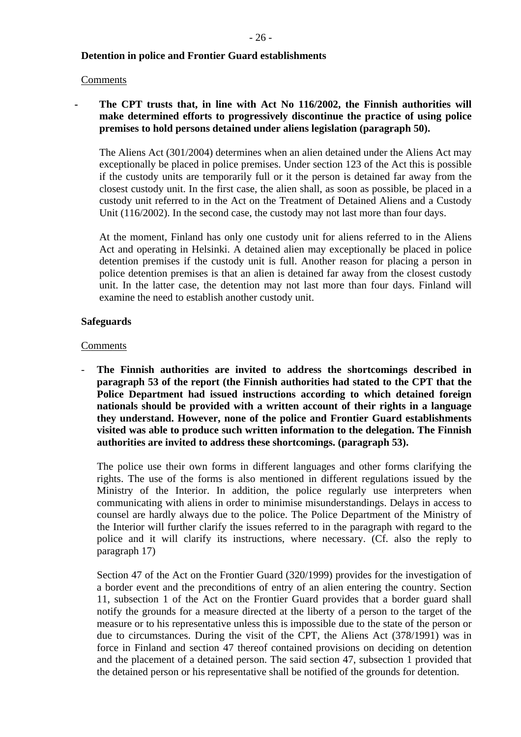# **Detention in police and Frontier Guard establishments**

# Comments

# The CPT trusts that, in line with Act No 116/2002, the Finnish authorities will **make determined efforts to progressively discontinue the practice of using police premises to hold persons detained under aliens legislation (paragraph 50).**

The Aliens Act (301/2004) determines when an alien detained under the Aliens Act may exceptionally be placed in police premises. Under section 123 of the Act this is possible if the custody units are temporarily full or it the person is detained far away from the closest custody unit. In the first case, the alien shall, as soon as possible, be placed in a custody unit referred to in the Act on the Treatment of Detained Aliens and a Custody Unit (116/2002). In the second case, the custody may not last more than four days.

At the moment, Finland has only one custody unit for aliens referred to in the Aliens Act and operating in Helsinki. A detained alien may exceptionally be placed in police detention premises if the custody unit is full. Another reason for placing a person in police detention premises is that an alien is detained far away from the closest custody unit. In the latter case, the detention may not last more than four days. Finland will examine the need to establish another custody unit.

# **Safeguards**

# **Comments**

**The Finnish authorities are invited to address the shortcomings described in paragraph 53 of the report (the Finnish authorities had stated to the CPT that the Police Department had issued instructions according to which detained foreign nationals should be provided with a written account of their rights in a language they understand. However, none of the police and Frontier Guard establishments visited was able to produce such written information to the delegation. The Finnish authorities are invited to address these shortcomings. (paragraph 53).**  -

The police use their own forms in different languages and other forms clarifying the rights. The use of the forms is also mentioned in different regulations issued by the Ministry of the Interior. In addition, the police regularly use interpreters when communicating with aliens in order to minimise misunderstandings. Delays in access to counsel are hardly always due to the police. The Police Department of the Ministry of the Interior will further clarify the issues referred to in the paragraph with regard to the police and it will clarify its instructions, where necessary. (Cf. also the reply to paragraph 17)

Section 47 of the Act on the Frontier Guard (320/1999) provides for the investigation of a border event and the preconditions of entry of an alien entering the country. Section 11, subsection 1 of the Act on the Frontier Guard provides that a border guard shall notify the grounds for a measure directed at the liberty of a person to the target of the measure or to his representative unless this is impossible due to the state of the person or due to circumstances. During the visit of the CPT, the Aliens Act (378/1991) was in force in Finland and section 47 thereof contained provisions on deciding on detention and the placement of a detained person. The said section 47, subsection 1 provided that the detained person or his representative shall be notified of the grounds for detention.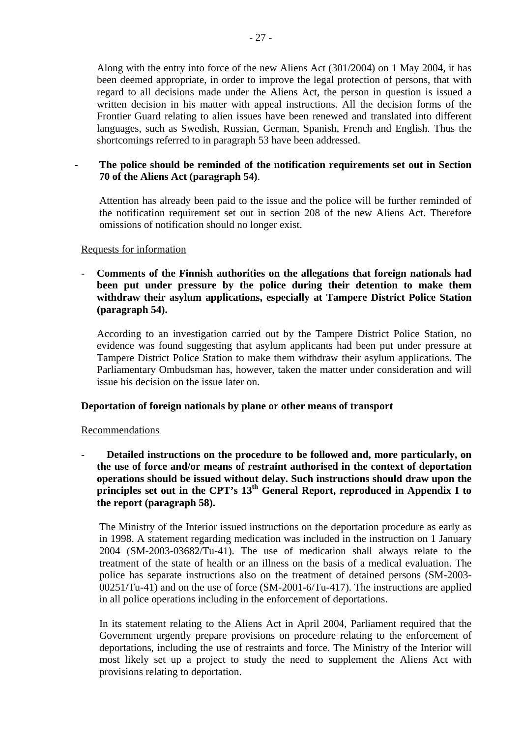Along with the entry into force of the new Aliens Act (301/2004) on 1 May 2004, it has been deemed appropriate, in order to improve the legal protection of persons, that with regard to all decisions made under the Aliens Act, the person in question is issued a written decision in his matter with appeal instructions. All the decision forms of the Frontier Guard relating to alien issues have been renewed and translated into different languages, such as Swedish, Russian, German, Spanish, French and English. Thus the shortcomings referred to in paragraph 53 have been addressed.

**- The police should be reminded of the notification requirements set out in Section 70 of the Aliens Act (paragraph 54)**.

Attention has already been paid to the issue and the police will be further reminded of the notification requirement set out in section 208 of the new Aliens Act. Therefore omissions of notification should no longer exist.

# Requests for information

**Comments of the Finnish authorities on the allegations that foreign nationals had been put under pressure by the police during their detention to make them withdraw their asylum applications, especially at Tampere District Police Station (paragraph 54).**  -

According to an investigation carried out by the Tampere District Police Station, no evidence was found suggesting that asylum applicants had been put under pressure at Tampere District Police Station to make them withdraw their asylum applications. The Parliamentary Ombudsman has, however, taken the matter under consideration and will issue his decision on the issue later on.

# **Deportation of foreign nationals by plane or other means of transport**

#### Recommendations

- **Detailed instructions on the procedure to be followed and, more particularly, on the use of force and/or means of restraint authorised in the context of deportation operations should be issued without delay. Such instructions should draw upon the principles set out in the CPT's 13<sup>th</sup> General Report, reproduced in Appendix I to the report (paragraph 58).** 

The Ministry of the Interior issued instructions on the deportation procedure as early as in 1998. A statement regarding medication was included in the instruction on 1 January 2004 (SM-2003-03682/Tu-41). The use of medication shall always relate to the treatment of the state of health or an illness on the basis of a medical evaluation. The police has separate instructions also on the treatment of detained persons (SM-2003- 00251/Tu-41) and on the use of force (SM-2001-6/Tu-417). The instructions are applied in all police operations including in the enforcement of deportations.

In its statement relating to the Aliens Act in April 2004, Parliament required that the Government urgently prepare provisions on procedure relating to the enforcement of deportations, including the use of restraints and force. The Ministry of the Interior will most likely set up a project to study the need to supplement the Aliens Act with provisions relating to deportation.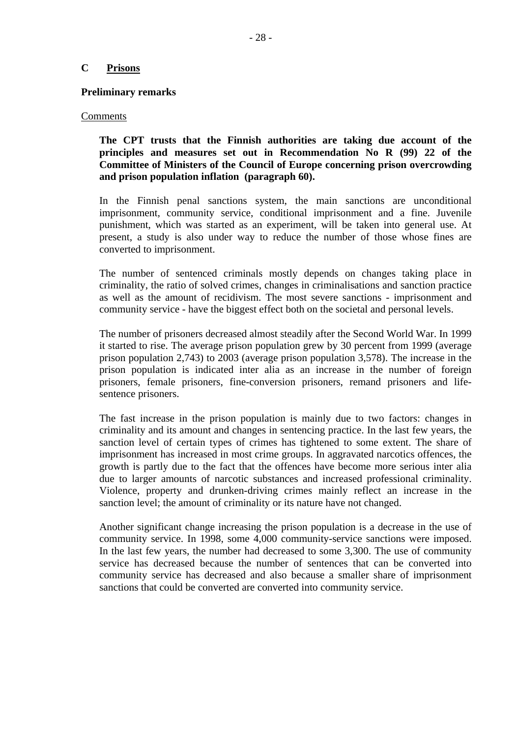# **C Prisons**

#### **Preliminary remarks**

#### Comments

**The CPT trusts that the Finnish authorities are taking due account of the principles and measures set out in Recommendation No R (99) 22 of the Committee of Ministers of the Council of Europe concerning prison overcrowding and prison population inflation (paragraph 60).** 

In the Finnish penal sanctions system, the main sanctions are unconditional imprisonment, community service, conditional imprisonment and a fine. Juvenile punishment, which was started as an experiment, will be taken into general use. At present, a study is also under way to reduce the number of those whose fines are converted to imprisonment.

The number of sentenced criminals mostly depends on changes taking place in criminality, the ratio of solved crimes, changes in criminalisations and sanction practice as well as the amount of recidivism. The most severe sanctions - imprisonment and community service - have the biggest effect both on the societal and personal levels.

The number of prisoners decreased almost steadily after the Second World War. In 1999 it started to rise. The average prison population grew by 30 percent from 1999 (average prison population 2,743) to 2003 (average prison population 3,578). The increase in the prison population is indicated inter alia as an increase in the number of foreign prisoners, female prisoners, fine-conversion prisoners, remand prisoners and lifesentence prisoners.

The fast increase in the prison population is mainly due to two factors: changes in criminality and its amount and changes in sentencing practice. In the last few years, the sanction level of certain types of crimes has tightened to some extent. The share of imprisonment has increased in most crime groups. In aggravated narcotics offences, the growth is partly due to the fact that the offences have become more serious inter alia due to larger amounts of narcotic substances and increased professional criminality. Violence, property and drunken-driving crimes mainly reflect an increase in the sanction level; the amount of criminality or its nature have not changed.

Another significant change increasing the prison population is a decrease in the use of community service. In 1998, some 4,000 community-service sanctions were imposed. In the last few years, the number had decreased to some 3,300. The use of community service has decreased because the number of sentences that can be converted into community service has decreased and also because a smaller share of imprisonment sanctions that could be converted are converted into community service.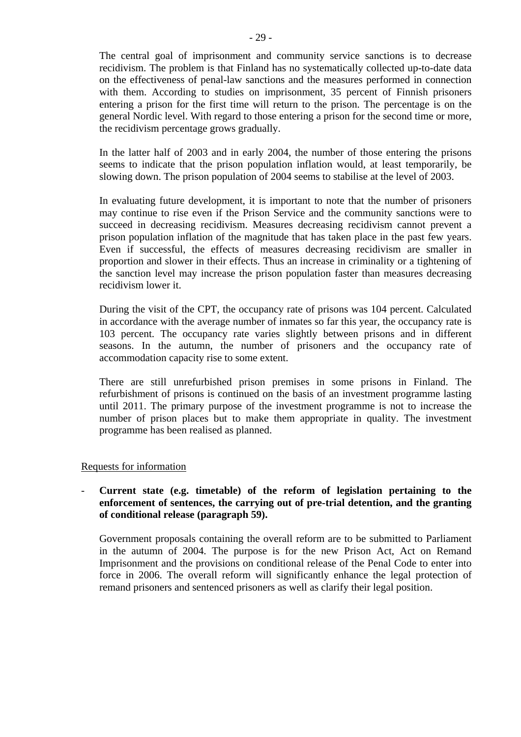The central goal of imprisonment and community service sanctions is to decrease recidivism. The problem is that Finland has no systematically collected up-to-date data on the effectiveness of penal-law sanctions and the measures performed in connection with them. According to studies on imprisonment, 35 percent of Finnish prisoners entering a prison for the first time will return to the prison. The percentage is on the general Nordic level. With regard to those entering a prison for the second time or more, the recidivism percentage grows gradually.

In the latter half of 2003 and in early 2004, the number of those entering the prisons seems to indicate that the prison population inflation would, at least temporarily, be slowing down. The prison population of 2004 seems to stabilise at the level of 2003.

In evaluating future development, it is important to note that the number of prisoners may continue to rise even if the Prison Service and the community sanctions were to succeed in decreasing recidivism. Measures decreasing recidivism cannot prevent a prison population inflation of the magnitude that has taken place in the past few years. Even if successful, the effects of measures decreasing recidivism are smaller in proportion and slower in their effects. Thus an increase in criminality or a tightening of the sanction level may increase the prison population faster than measures decreasing recidivism lower it.

During the visit of the CPT, the occupancy rate of prisons was 104 percent. Calculated in accordance with the average number of inmates so far this year, the occupancy rate is 103 percent. The occupancy rate varies slightly between prisons and in different seasons. In the autumn, the number of prisoners and the occupancy rate of accommodation capacity rise to some extent.

There are still unrefurbished prison premises in some prisons in Finland. The refurbishment of prisons is continued on the basis of an investment programme lasting until 2011. The primary purpose of the investment programme is not to increase the number of prison places but to make them appropriate in quality. The investment programme has been realised as planned.

# Requests for information

# - **Current state (e.g. timetable) of the reform of legislation pertaining to the enforcement of sentences, the carrying out of pre-trial detention, and the granting of conditional release (paragraph 59).**

Government proposals containing the overall reform are to be submitted to Parliament in the autumn of 2004. The purpose is for the new Prison Act, Act on Remand Imprisonment and the provisions on conditional release of the Penal Code to enter into force in 2006. The overall reform will significantly enhance the legal protection of remand prisoners and sentenced prisoners as well as clarify their legal position.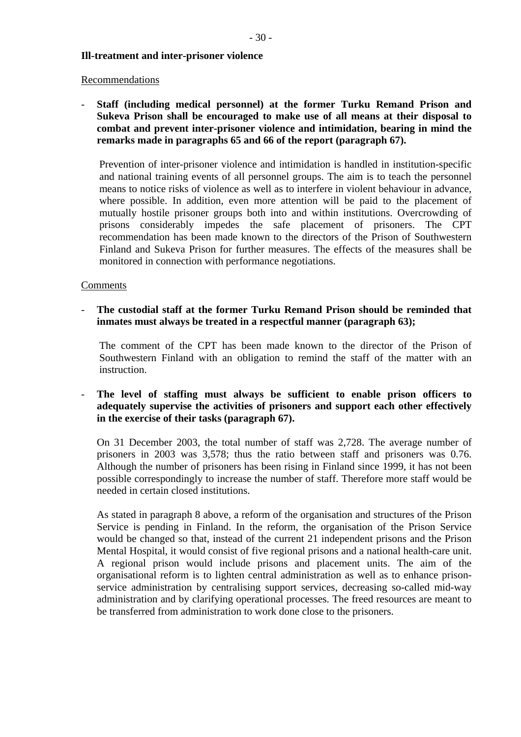# **Ill-treatment and inter-prisoner violence**

#### Recommendations

- **Staff (including medical personnel) at the former Turku Remand Prison and Sukeva Prison shall be encouraged to make use of all means at their disposal to combat and prevent inter-prisoner violence and intimidation, bearing in mind the remarks made in paragraphs 65 and 66 of the report (paragraph 67).** 

Prevention of inter-prisoner violence and intimidation is handled in institution-specific and national training events of all personnel groups. The aim is to teach the personnel means to notice risks of violence as well as to interfere in violent behaviour in advance, where possible. In addition, even more attention will be paid to the placement of mutually hostile prisoner groups both into and within institutions. Overcrowding of prisons considerably impedes the safe placement of prisoners. The CPT recommendation has been made known to the directors of the Prison of Southwestern Finland and Sukeva Prison for further measures. The effects of the measures shall be monitored in connection with performance negotiations.

# Comments

- **The custodial staff at the former Turku Remand Prison should be reminded that inmates must always be treated in a respectful manner (paragraph 63);** 

The comment of the CPT has been made known to the director of the Prison of Southwestern Finland with an obligation to remind the staff of the matter with an instruction.

#### **The level of staffing must always be sufficient to enable prison officers to adequately supervise the activities of prisoners and support each other effectively in the exercise of their tasks (paragraph 67).** -

On 31 December 2003, the total number of staff was 2,728. The average number of prisoners in 2003 was 3,578; thus the ratio between staff and prisoners was 0.76. Although the number of prisoners has been rising in Finland since 1999, it has not been possible correspondingly to increase the number of staff. Therefore more staff would be needed in certain closed institutions.

As stated in paragraph 8 above, a reform of the organisation and structures of the Prison Service is pending in Finland. In the reform, the organisation of the Prison Service would be changed so that, instead of the current 21 independent prisons and the Prison Mental Hospital, it would consist of five regional prisons and a national health-care unit. A regional prison would include prisons and placement units. The aim of the organisational reform is to lighten central administration as well as to enhance prisonservice administration by centralising support services, decreasing so-called mid-way administration and by clarifying operational processes. The freed resources are meant to be transferred from administration to work done close to the prisoners.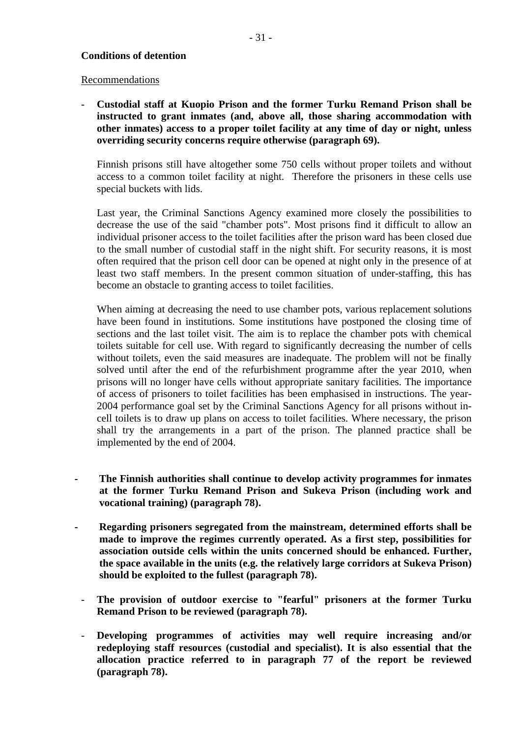# **Conditions of detention**

#### Recommendations

**Custodial staff at Kuopio Prison and the former Turku Remand Prison shall be instructed to grant inmates (and, above all, those sharing accommodation with other inmates) access to a proper toilet facility at any time of day or night, unless overriding security concerns require otherwise (paragraph 69).**  -

Finnish prisons still have altogether some 750 cells without proper toilets and without access to a common toilet facility at night. Therefore the prisoners in these cells use special buckets with lids.

Last year, the Criminal Sanctions Agency examined more closely the possibilities to decrease the use of the said "chamber pots". Most prisons find it difficult to allow an individual prisoner access to the toilet facilities after the prison ward has been closed due to the small number of custodial staff in the night shift. For security reasons, it is most often required that the prison cell door can be opened at night only in the presence of at least two staff members. In the present common situation of under-staffing, this has become an obstacle to granting access to toilet facilities.

When aiming at decreasing the need to use chamber pots, various replacement solutions have been found in institutions. Some institutions have postponed the closing time of sections and the last toilet visit. The aim is to replace the chamber pots with chemical toilets suitable for cell use. With regard to significantly decreasing the number of cells without toilets, even the said measures are inadequate. The problem will not be finally solved until after the end of the refurbishment programme after the year 2010, when prisons will no longer have cells without appropriate sanitary facilities. The importance of access of prisoners to toilet facilities has been emphasised in instructions. The year-2004 performance goal set by the Criminal Sanctions Agency for all prisons without incell toilets is to draw up plans on access to toilet facilities. Where necessary, the prison shall try the arrangements in a part of the prison. The planned practice shall be implemented by the end of 2004.

- **The Finnish authorities shall continue to develop activity programmes for inmates at the former Turku Remand Prison and Sukeva Prison (including work and vocational training) (paragraph 78).**
- **Regarding prisoners segregated from the mainstream, determined efforts shall be made to improve the regimes currently operated. As a first step, possibilities for association outside cells within the units concerned should be enhanced. Further, the space available in the units (e.g. the relatively large corridors at Sukeva Prison) should be exploited to the fullest (paragraph 78).**
	- **The provision of outdoor exercise to "fearful" prisoners at the former Turku Remand Prison to be reviewed (paragraph 78).**
	- **Developing programmes of activities may well require increasing and/or redeploying staff resources (custodial and specialist). It is also essential that the allocation practice referred to in paragraph 77 of the report be reviewed (paragraph 78).**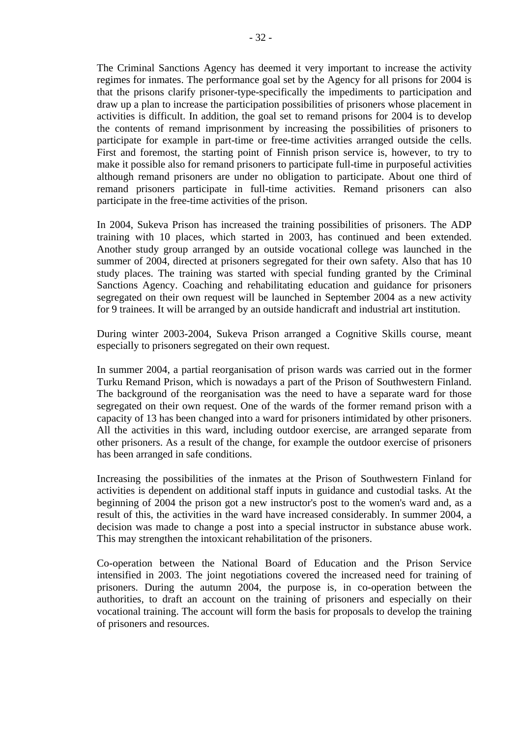The Criminal Sanctions Agency has deemed it very important to increase the activity regimes for inmates. The performance goal set by the Agency for all prisons for 2004 is that the prisons clarify prisoner-type-specifically the impediments to participation and draw up a plan to increase the participation possibilities of prisoners whose placement in activities is difficult. In addition, the goal set to remand prisons for 2004 is to develop the contents of remand imprisonment by increasing the possibilities of prisoners to participate for example in part-time or free-time activities arranged outside the cells. First and foremost, the starting point of Finnish prison service is, however, to try to make it possible also for remand prisoners to participate full-time in purposeful activities although remand prisoners are under no obligation to participate. About one third of remand prisoners participate in full-time activities. Remand prisoners can also participate in the free-time activities of the prison.

In 2004, Sukeva Prison has increased the training possibilities of prisoners. The ADP training with 10 places, which started in 2003, has continued and been extended. Another study group arranged by an outside vocational college was launched in the summer of 2004, directed at prisoners segregated for their own safety. Also that has 10 study places. The training was started with special funding granted by the Criminal Sanctions Agency. Coaching and rehabilitating education and guidance for prisoners segregated on their own request will be launched in September 2004 as a new activity for 9 trainees. It will be arranged by an outside handicraft and industrial art institution.

During winter 2003-2004, Sukeva Prison arranged a Cognitive Skills course, meant especially to prisoners segregated on their own request.

In summer 2004, a partial reorganisation of prison wards was carried out in the former Turku Remand Prison, which is nowadays a part of the Prison of Southwestern Finland. The background of the reorganisation was the need to have a separate ward for those segregated on their own request. One of the wards of the former remand prison with a capacity of 13 has been changed into a ward for prisoners intimidated by other prisoners. All the activities in this ward, including outdoor exercise, are arranged separate from other prisoners. As a result of the change, for example the outdoor exercise of prisoners has been arranged in safe conditions.

Increasing the possibilities of the inmates at the Prison of Southwestern Finland for activities is dependent on additional staff inputs in guidance and custodial tasks. At the beginning of 2004 the prison got a new instructor's post to the women's ward and, as a result of this, the activities in the ward have increased considerably. In summer 2004, a decision was made to change a post into a special instructor in substance abuse work. This may strengthen the intoxicant rehabilitation of the prisoners.

Co-operation between the National Board of Education and the Prison Service intensified in 2003. The joint negotiations covered the increased need for training of prisoners. During the autumn 2004, the purpose is, in co-operation between the authorities, to draft an account on the training of prisoners and especially on their vocational training. The account will form the basis for proposals to develop the training of prisoners and resources.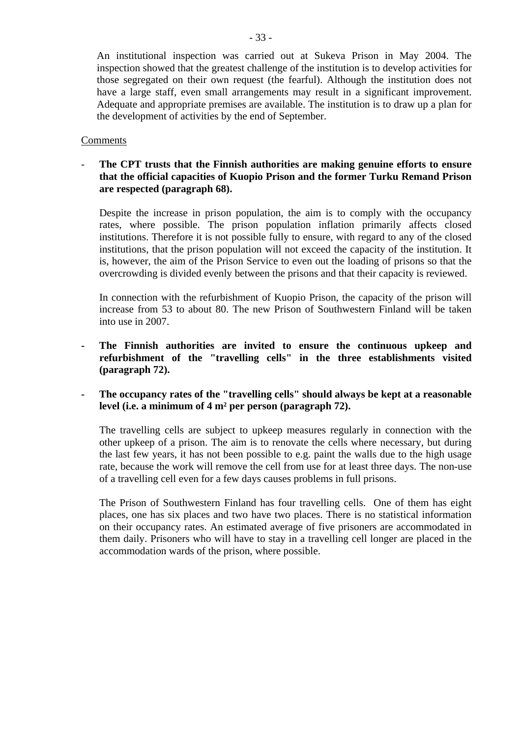An institutional inspection was carried out at Sukeva Prison in May 2004. The inspection showed that the greatest challenge of the institution is to develop activities for those segregated on their own request (the fearful). Although the institution does not have a large staff, even small arrangements may result in a significant improvement. Adequate and appropriate premises are available. The institution is to draw up a plan for the development of activities by the end of September.

# Comments

# - **The CPT trusts that the Finnish authorities are making genuine efforts to ensure that the official capacities of Kuopio Prison and the former Turku Remand Prison are respected (paragraph 68).**

Despite the increase in prison population, the aim is to comply with the occupancy rates, where possible. The prison population inflation primarily affects closed institutions. Therefore it is not possible fully to ensure, with regard to any of the closed institutions, that the prison population will not exceed the capacity of the institution. It is, however, the aim of the Prison Service to even out the loading of prisons so that the overcrowding is divided evenly between the prisons and that their capacity is reviewed.

In connection with the refurbishment of Kuopio Prison, the capacity of the prison will increase from 53 to about 80. The new Prison of Southwestern Finland will be taken into use in 2007.

- **The Finnish authorities are invited to ensure the continuous upkeep and refurbishment of the "travelling cells" in the three establishments visited (paragraph 72).**
- **The occupancy rates of the "travelling cells" should always be kept at a reasonable level (i.e. a minimum of 4 m² per person (paragraph 72).**

The travelling cells are subject to upkeep measures regularly in connection with the other upkeep of a prison. The aim is to renovate the cells where necessary, but during the last few years, it has not been possible to e.g. paint the walls due to the high usage rate, because the work will remove the cell from use for at least three days. The non-use of a travelling cell even for a few days causes problems in full prisons.

The Prison of Southwestern Finland has four travelling cells. One of them has eight places, one has six places and two have two places. There is no statistical information on their occupancy rates. An estimated average of five prisoners are accommodated in them daily. Prisoners who will have to stay in a travelling cell longer are placed in the accommodation wards of the prison, where possible.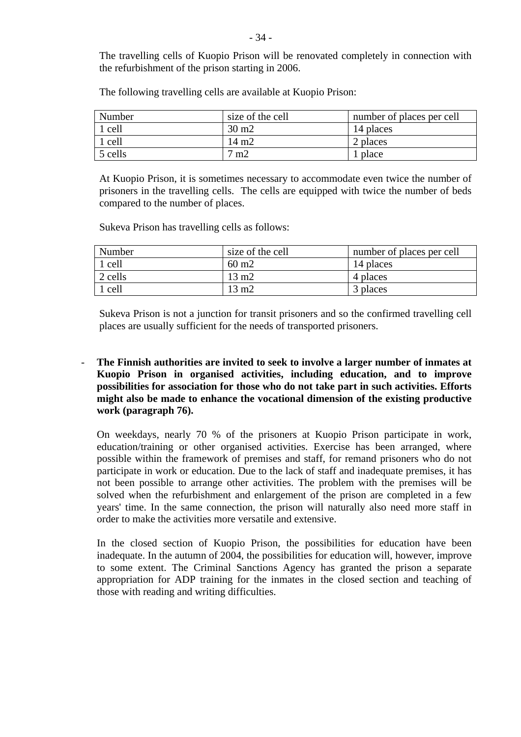The travelling cells of Kuopio Prison will be renovated completely in connection with the refurbishment of the prison starting in 2006.

| Number  | size of the cell | number of places per cell |
|---------|------------------|---------------------------|
| 1 cell  | $30 \text{ m}$   | 14 places                 |
| 1 cell  | 14 m2            | 2 places                  |
| 5 cells | m2               | l place                   |

The following travelling cells are available at Kuopio Prison:

At Kuopio Prison, it is sometimes necessary to accommodate even twice the number of prisoners in the travelling cells. The cells are equipped with twice the number of beds compared to the number of places.

Sukeva Prison has travelling cells as follows:

| Number  | size of the cell | number of places per cell |
|---------|------------------|---------------------------|
| 1 cell  | $60 \text{ m}$   | 14 places                 |
| 2 cells | $13 \text{ m}$   | 4 places                  |
| 1 cell  | $13 \text{ m}$   | 3 places                  |

Sukeva Prison is not a junction for transit prisoners and so the confirmed travelling cell places are usually sufficient for the needs of transported prisoners.

**The Finnish authorities are invited to seek to involve a larger number of inmates at Kuopio Prison in organised activities, including education, and to improve possibilities for association for those who do not take part in such activities. Efforts might also be made to enhance the vocational dimension of the existing productive work (paragraph 76).** -

On weekdays, nearly 70 % of the prisoners at Kuopio Prison participate in work, education/training or other organised activities. Exercise has been arranged, where possible within the framework of premises and staff, for remand prisoners who do not participate in work or education. Due to the lack of staff and inadequate premises, it has not been possible to arrange other activities. The problem with the premises will be solved when the refurbishment and enlargement of the prison are completed in a few years' time. In the same connection, the prison will naturally also need more staff in order to make the activities more versatile and extensive.

In the closed section of Kuopio Prison, the possibilities for education have been inadequate. In the autumn of 2004, the possibilities for education will, however, improve to some extent. The Criminal Sanctions Agency has granted the prison a separate appropriation for ADP training for the inmates in the closed section and teaching of those with reading and writing difficulties.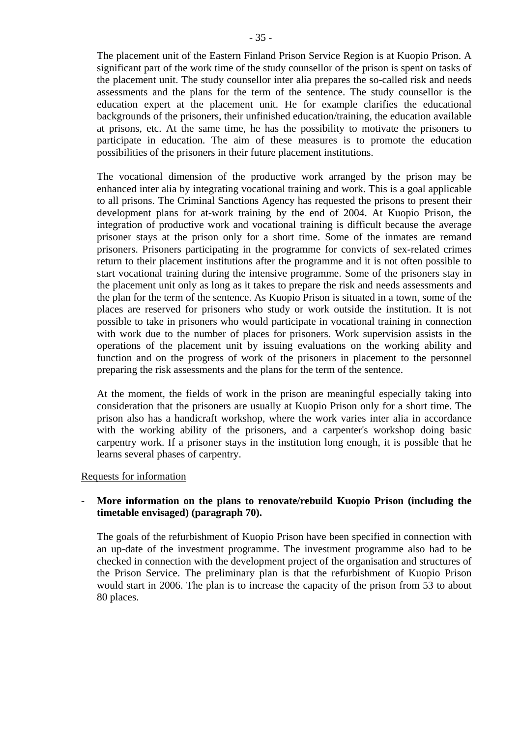The placement unit of the Eastern Finland Prison Service Region is at Kuopio Prison. A significant part of the work time of the study counsellor of the prison is spent on tasks of the placement unit. The study counsellor inter alia prepares the so-called risk and needs assessments and the plans for the term of the sentence. The study counsellor is the education expert at the placement unit. He for example clarifies the educational backgrounds of the prisoners, their unfinished education/training, the education available at prisons, etc. At the same time, he has the possibility to motivate the prisoners to participate in education. The aim of these measures is to promote the education possibilities of the prisoners in their future placement institutions.

The vocational dimension of the productive work arranged by the prison may be enhanced inter alia by integrating vocational training and work. This is a goal applicable to all prisons. The Criminal Sanctions Agency has requested the prisons to present their development plans for at-work training by the end of 2004. At Kuopio Prison, the integration of productive work and vocational training is difficult because the average prisoner stays at the prison only for a short time. Some of the inmates are remand prisoners. Prisoners participating in the programme for convicts of sex-related crimes return to their placement institutions after the programme and it is not often possible to start vocational training during the intensive programme. Some of the prisoners stay in the placement unit only as long as it takes to prepare the risk and needs assessments and the plan for the term of the sentence. As Kuopio Prison is situated in a town, some of the places are reserved for prisoners who study or work outside the institution. It is not possible to take in prisoners who would participate in vocational training in connection with work due to the number of places for prisoners. Work supervision assists in the operations of the placement unit by issuing evaluations on the working ability and function and on the progress of work of the prisoners in placement to the personnel preparing the risk assessments and the plans for the term of the sentence.

At the moment, the fields of work in the prison are meaningful especially taking into consideration that the prisoners are usually at Kuopio Prison only for a short time. The prison also has a handicraft workshop, where the work varies inter alia in accordance with the working ability of the prisoners, and a carpenter's workshop doing basic carpentry work. If a prisoner stays in the institution long enough, it is possible that he learns several phases of carpentry.

# Requests for information

#### **More information on the plans to renovate/rebuild Kuopio Prison (including the timetable envisaged) (paragraph 70).**  -

The goals of the refurbishment of Kuopio Prison have been specified in connection with an up-date of the investment programme. The investment programme also had to be checked in connection with the development project of the organisation and structures of the Prison Service. The preliminary plan is that the refurbishment of Kuopio Prison would start in 2006. The plan is to increase the capacity of the prison from 53 to about 80 places.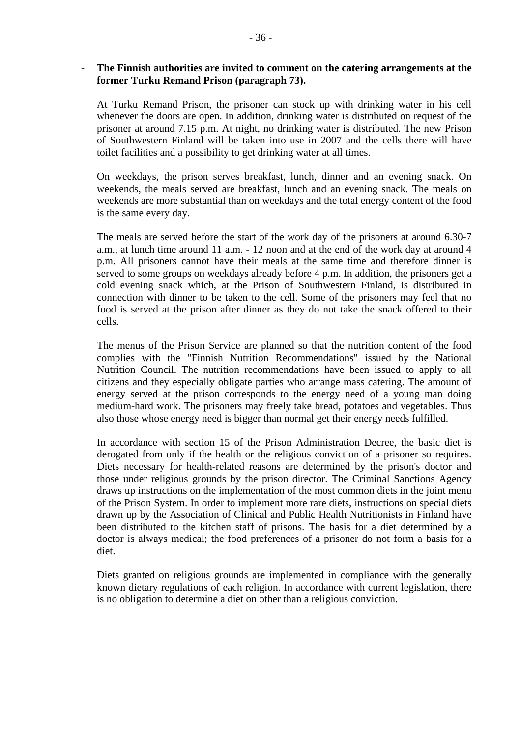#### **The Finnish authorities are invited to comment on the catering arrangements at the former Turku Remand Prison (paragraph 73).**  -

At Turku Remand Prison, the prisoner can stock up with drinking water in his cell whenever the doors are open. In addition, drinking water is distributed on request of the prisoner at around 7.15 p.m. At night, no drinking water is distributed. The new Prison of Southwestern Finland will be taken into use in 2007 and the cells there will have toilet facilities and a possibility to get drinking water at all times.

On weekdays, the prison serves breakfast, lunch, dinner and an evening snack. On weekends, the meals served are breakfast, lunch and an evening snack. The meals on weekends are more substantial than on weekdays and the total energy content of the food is the same every day.

The meals are served before the start of the work day of the prisoners at around 6.30-7 a.m., at lunch time around 11 a.m. - 12 noon and at the end of the work day at around 4 p.m. All prisoners cannot have their meals at the same time and therefore dinner is served to some groups on weekdays already before 4 p.m. In addition, the prisoners get a cold evening snack which, at the Prison of Southwestern Finland, is distributed in connection with dinner to be taken to the cell. Some of the prisoners may feel that no food is served at the prison after dinner as they do not take the snack offered to their cells.

The menus of the Prison Service are planned so that the nutrition content of the food complies with the "Finnish Nutrition Recommendations" issued by the National Nutrition Council. The nutrition recommendations have been issued to apply to all citizens and they especially obligate parties who arrange mass catering. The amount of energy served at the prison corresponds to the energy need of a young man doing medium-hard work. The prisoners may freely take bread, potatoes and vegetables. Thus also those whose energy need is bigger than normal get their energy needs fulfilled.

In accordance with section 15 of the Prison Administration Decree, the basic diet is derogated from only if the health or the religious conviction of a prisoner so requires. Diets necessary for health-related reasons are determined by the prison's doctor and those under religious grounds by the prison director. The Criminal Sanctions Agency draws up instructions on the implementation of the most common diets in the joint menu of the Prison System. In order to implement more rare diets, instructions on special diets drawn up by the Association of Clinical and Public Health Nutritionists in Finland have been distributed to the kitchen staff of prisons. The basis for a diet determined by a doctor is always medical; the food preferences of a prisoner do not form a basis for a diet.

Diets granted on religious grounds are implemented in compliance with the generally known dietary regulations of each religion. In accordance with current legislation, there is no obligation to determine a diet on other than a religious conviction.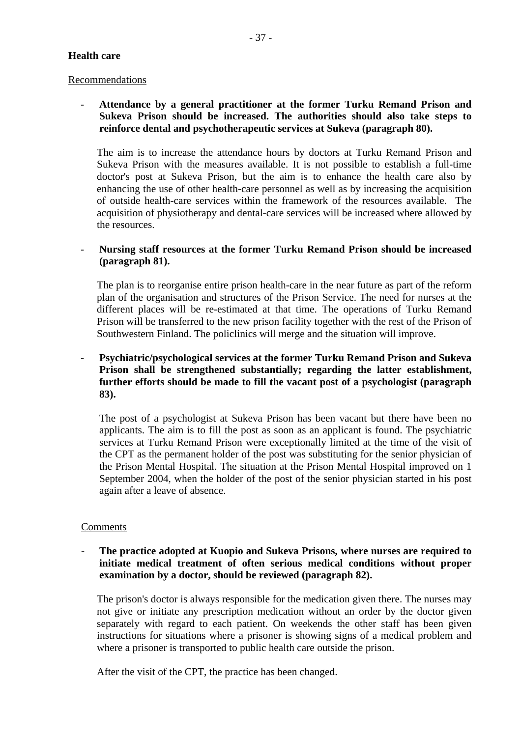#### **Health care**

# Recommendations

# - **Attendance by a general practitioner at the former Turku Remand Prison and Sukeva Prison should be increased. The authorities should also take steps to reinforce dental and psychotherapeutic services at Sukeva (paragraph 80).**

The aim is to increase the attendance hours by doctors at Turku Remand Prison and Sukeva Prison with the measures available. It is not possible to establish a full-time doctor's post at Sukeva Prison, but the aim is to enhance the health care also by enhancing the use of other health-care personnel as well as by increasing the acquisition of outside health-care services within the framework of the resources available. The acquisition of physiotherapy and dental-care services will be increased where allowed by the resources.

# - **Nursing staff resources at the former Turku Remand Prison should be increased (paragraph 81).**

The plan is to reorganise entire prison health-care in the near future as part of the reform plan of the organisation and structures of the Prison Service. The need for nurses at the different places will be re-estimated at that time. The operations of Turku Remand Prison will be transferred to the new prison facility together with the rest of the Prison of Southwestern Finland. The policlinics will merge and the situation will improve.

# - **Psychiatric/psychological services at the former Turku Remand Prison and Sukeva Prison shall be strengthened substantially; regarding the latter establishment, further efforts should be made to fill the vacant post of a psychologist (paragraph 83).**

The post of a psychologist at Sukeva Prison has been vacant but there have been no applicants. The aim is to fill the post as soon as an applicant is found. The psychiatric services at Turku Remand Prison were exceptionally limited at the time of the visit of the CPT as the permanent holder of the post was substituting for the senior physician of the Prison Mental Hospital. The situation at the Prison Mental Hospital improved on 1 September 2004, when the holder of the post of the senior physician started in his post again after a leave of absence.

# Comments

# - **The practice adopted at Kuopio and Sukeva Prisons, where nurses are required to initiate medical treatment of often serious medical conditions without proper examination by a doctor, should be reviewed (paragraph 82).**

The prison's doctor is always responsible for the medication given there. The nurses may not give or initiate any prescription medication without an order by the doctor given separately with regard to each patient. On weekends the other staff has been given instructions for situations where a prisoner is showing signs of a medical problem and where a prisoner is transported to public health care outside the prison.

After the visit of the CPT, the practice has been changed.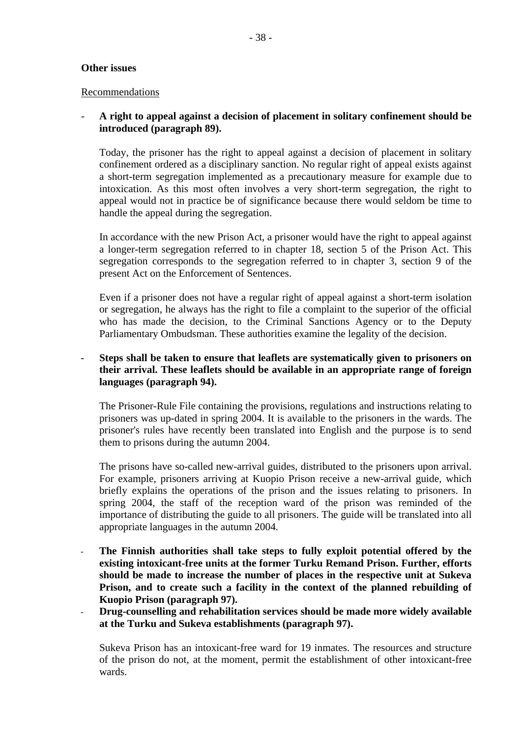# **Other issues**

#### Recommendations

# - **A right to appeal against a decision of placement in solitary confinement should be introduced (paragraph 89).**

Today, the prisoner has the right to appeal against a decision of placement in solitary confinement ordered as a disciplinary sanction. No regular right of appeal exists against a short-term segregation implemented as a precautionary measure for example due to intoxication. As this most often involves a very short-term segregation, the right to appeal would not in practice be of significance because there would seldom be time to handle the appeal during the segregation.

In accordance with the new Prison Act, a prisoner would have the right to appeal against a longer-term segregation referred to in chapter 18, section 5 of the Prison Act. This segregation corresponds to the segregation referred to in chapter 3, section 9 of the present Act on the Enforcement of Sentences.

Even if a prisoner does not have a regular right of appeal against a short-term isolation or segregation, he always has the right to file a complaint to the superior of the official who has made the decision, to the Criminal Sanctions Agency or to the Deputy Parliamentary Ombudsman. These authorities examine the legality of the decision.

# - **Steps shall be taken to ensure that leaflets are systematically given to prisoners on their arrival. These leaflets should be available in an appropriate range of foreign languages (paragraph 94).**

The Prisoner-Rule File containing the provisions, regulations and instructions relating to prisoners was up-dated in spring 2004. It is available to the prisoners in the wards. The prisoner's rules have recently been translated into English and the purpose is to send them to prisons during the autumn 2004.

The prisons have so-called new-arrival guides, distributed to the prisoners upon arrival. For example, prisoners arriving at Kuopio Prison receive a new-arrival guide, which briefly explains the operations of the prison and the issues relating to prisoners. In spring 2004, the staff of the reception ward of the prison was reminded of the importance of distributing the guide to all prisoners. The guide will be translated into all appropriate languages in the autumn 2004.

- **The Finnish authorities shall take steps to fully exploit potential offered by the existing intoxicant-free units at the former Turku Remand Prison. Further, efforts should be made to increase the number of places in the respective unit at Sukeva Prison, and to create such a facility in the context of the planned rebuilding of Kuopio Prison (paragraph 97).**
- **Drug-counselling and rehabilitation services should be made more widely available at the Turku and Sukeva establishments (paragraph 97).**  -

Sukeva Prison has an intoxicant-free ward for 19 inmates. The resources and structure of the prison do not, at the moment, permit the establishment of other intoxicant-free wards.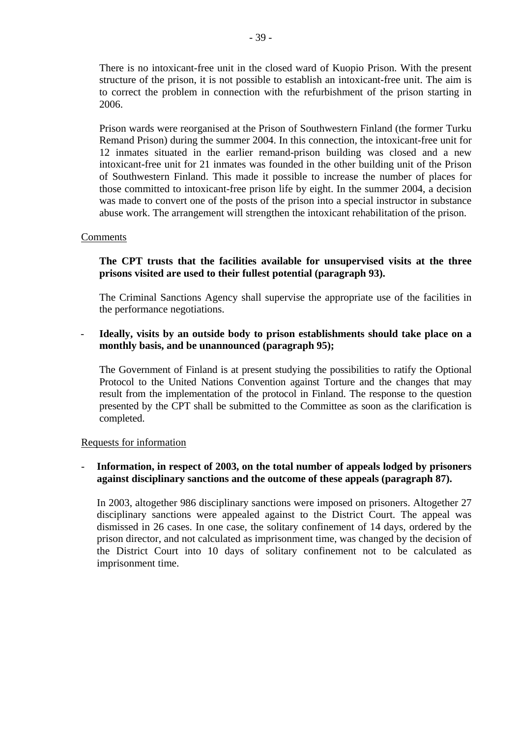There is no intoxicant-free unit in the closed ward of Kuopio Prison. With the present structure of the prison, it is not possible to establish an intoxicant-free unit. The aim is to correct the problem in connection with the refurbishment of the prison starting in 2006.

Prison wards were reorganised at the Prison of Southwestern Finland (the former Turku Remand Prison) during the summer 2004. In this connection, the intoxicant-free unit for 12 inmates situated in the earlier remand-prison building was closed and a new intoxicant-free unit for 21 inmates was founded in the other building unit of the Prison of Southwestern Finland. This made it possible to increase the number of places for those committed to intoxicant-free prison life by eight. In the summer 2004, a decision was made to convert one of the posts of the prison into a special instructor in substance abuse work. The arrangement will strengthen the intoxicant rehabilitation of the prison.

# Comments

# **The CPT trusts that the facilities available for unsupervised visits at the three prisons visited are used to their fullest potential (paragraph 93).**

The Criminal Sanctions Agency shall supervise the appropriate use of the facilities in the performance negotiations.

#### **Ideally, visits by an outside body to prison establishments should take place on a monthly basis, and be unannounced (paragraph 95);**  -

The Government of Finland is at present studying the possibilities to ratify the Optional Protocol to the United Nations Convention against Torture and the changes that may result from the implementation of the protocol in Finland. The response to the question presented by the CPT shall be submitted to the Committee as soon as the clarification is completed.

#### Requests for information

#### **Information, in respect of 2003, on the total number of appeals lodged by prisoners against disciplinary sanctions and the outcome of these appeals (paragraph 87).** -

In 2003, altogether 986 disciplinary sanctions were imposed on prisoners. Altogether 27 disciplinary sanctions were appealed against to the District Court. The appeal was dismissed in 26 cases. In one case, the solitary confinement of 14 days, ordered by the prison director, and not calculated as imprisonment time, was changed by the decision of the District Court into 10 days of solitary confinement not to be calculated as imprisonment time.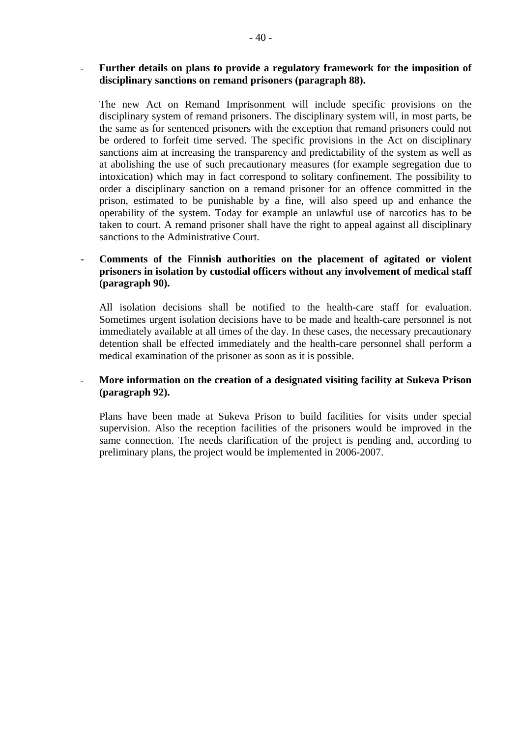#### **Further details on plans to provide a regulatory framework for the imposition of disciplinary sanctions on remand prisoners (paragraph 88).**  -

The new Act on Remand Imprisonment will include specific provisions on the disciplinary system of remand prisoners. The disciplinary system will, in most parts, be the same as for sentenced prisoners with the exception that remand prisoners could not be ordered to forfeit time served. The specific provisions in the Act on disciplinary sanctions aim at increasing the transparency and predictability of the system as well as at abolishing the use of such precautionary measures (for example segregation due to intoxication) which may in fact correspond to solitary confinement. The possibility to order a disciplinary sanction on a remand prisoner for an offence committed in the prison, estimated to be punishable by a fine, will also speed up and enhance the operability of the system. Today for example an unlawful use of narcotics has to be taken to court. A remand prisoner shall have the right to appeal against all disciplinary sanctions to the Administrative Court.

#### - **Comments of the Finnish authorities on the placement of agitated or violent prisoners in isolation by custodial officers without any involvement of medical staff (paragraph 90).**

All isolation decisions shall be notified to the health-care staff for evaluation. Sometimes urgent isolation decisions have to be made and health-care personnel is not immediately available at all times of the day. In these cases, the necessary precautionary detention shall be effected immediately and the health-care personnel shall perform a medical examination of the prisoner as soon as it is possible.

#### - **More information on the creation of a designated visiting facility at Sukeva Prison (paragraph 92).**

Plans have been made at Sukeva Prison to build facilities for visits under special supervision. Also the reception facilities of the prisoners would be improved in the same connection. The needs clarification of the project is pending and, according to preliminary plans, the project would be implemented in 2006-2007.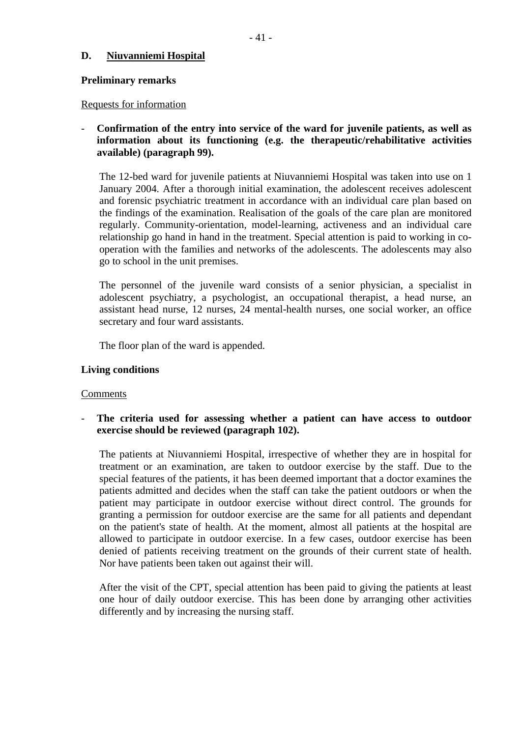# **D. Niuvanniemi Hospital**

# **Preliminary remarks**

#### Requests for information

# - **Confirmation of the entry into service of the ward for juvenile patients, as well as information about its functioning (e.g. the therapeutic/rehabilitative activities available) (paragraph 99).**

The 12-bed ward for juvenile patients at Niuvanniemi Hospital was taken into use on 1 January 2004. After a thorough initial examination, the adolescent receives adolescent and forensic psychiatric treatment in accordance with an individual care plan based on the findings of the examination. Realisation of the goals of the care plan are monitored regularly. Community-orientation, model-learning, activeness and an individual care relationship go hand in hand in the treatment. Special attention is paid to working in cooperation with the families and networks of the adolescents. The adolescents may also go to school in the unit premises.

The personnel of the juvenile ward consists of a senior physician, a specialist in adolescent psychiatry, a psychologist, an occupational therapist, a head nurse, an assistant head nurse, 12 nurses, 24 mental-health nurses, one social worker, an office secretary and four ward assistants.

The floor plan of the ward is appended.

# **Living conditions**

#### Comments

- **The criteria used for assessing whether a patient can have access to outdoor exercise should be reviewed (paragraph 102).** 

The patients at Niuvanniemi Hospital, irrespective of whether they are in hospital for treatment or an examination, are taken to outdoor exercise by the staff. Due to the special features of the patients, it has been deemed important that a doctor examines the patients admitted and decides when the staff can take the patient outdoors or when the patient may participate in outdoor exercise without direct control. The grounds for granting a permission for outdoor exercise are the same for all patients and dependant on the patient's state of health. At the moment, almost all patients at the hospital are allowed to participate in outdoor exercise. In a few cases, outdoor exercise has been denied of patients receiving treatment on the grounds of their current state of health. Nor have patients been taken out against their will.

After the visit of the CPT, special attention has been paid to giving the patients at least one hour of daily outdoor exercise. This has been done by arranging other activities differently and by increasing the nursing staff.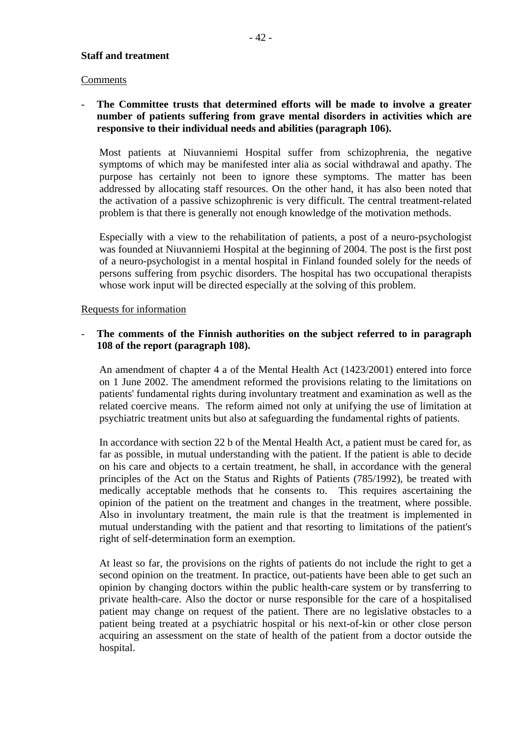# **Staff and treatment**

#### Comments

# - **The Committee trusts that determined efforts will be made to involve a greater number of patients suffering from grave mental disorders in activities which are responsive to their individual needs and abilities (paragraph 106).**

Most patients at Niuvanniemi Hospital suffer from schizophrenia, the negative symptoms of which may be manifested inter alia as social withdrawal and apathy. The purpose has certainly not been to ignore these symptoms. The matter has been addressed by allocating staff resources. On the other hand, it has also been noted that the activation of a passive schizophrenic is very difficult. The central treatment-related problem is that there is generally not enough knowledge of the motivation methods.

Especially with a view to the rehabilitation of patients, a post of a neuro-psychologist was founded at Niuvanniemi Hospital at the beginning of 2004. The post is the first post of a neuro-psychologist in a mental hospital in Finland founded solely for the needs of persons suffering from psychic disorders. The hospital has two occupational therapists whose work input will be directed especially at the solving of this problem.

# Requests for information

# - **The comments of the Finnish authorities on the subject referred to in paragraph 108 of the report (paragraph 108).**

An amendment of chapter 4 a of the Mental Health Act (1423/2001) entered into force on 1 June 2002. The amendment reformed the provisions relating to the limitations on patients' fundamental rights during involuntary treatment and examination as well as the related coercive means. The reform aimed not only at unifying the use of limitation at psychiatric treatment units but also at safeguarding the fundamental rights of patients.

In accordance with section 22 b of the Mental Health Act, a patient must be cared for, as far as possible, in mutual understanding with the patient. If the patient is able to decide on his care and objects to a certain treatment, he shall, in accordance with the general principles of the Act on the Status and Rights of Patients (785/1992), be treated with medically acceptable methods that he consents to. This requires ascertaining the opinion of the patient on the treatment and changes in the treatment, where possible. Also in involuntary treatment, the main rule is that the treatment is implemented in mutual understanding with the patient and that resorting to limitations of the patient's right of self-determination form an exemption.

At least so far, the provisions on the rights of patients do not include the right to get a second opinion on the treatment. In practice, out-patients have been able to get such an opinion by changing doctors within the public health-care system or by transferring to private health-care. Also the doctor or nurse responsible for the care of a hospitalised patient may change on request of the patient. There are no legislative obstacles to a patient being treated at a psychiatric hospital or his next-of-kin or other close person acquiring an assessment on the state of health of the patient from a doctor outside the hospital.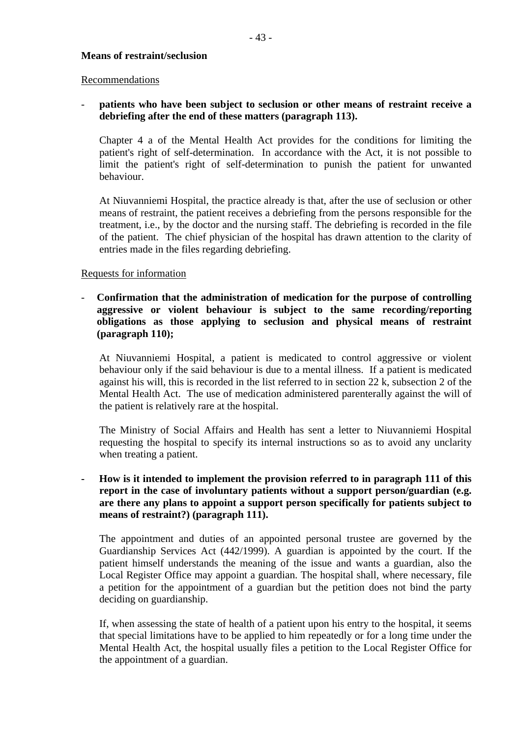#### **Means of restraint/seclusion**

#### Recommendations

# - **patients who have been subject to seclusion or other means of restraint receive a debriefing after the end of these matters (paragraph 113).**

Chapter 4 a of the Mental Health Act provides for the conditions for limiting the patient's right of self-determination. In accordance with the Act, it is not possible to limit the patient's right of self-determination to punish the patient for unwanted behaviour.

At Niuvanniemi Hospital, the practice already is that, after the use of seclusion or other means of restraint, the patient receives a debriefing from the persons responsible for the treatment, i.e., by the doctor and the nursing staff. The debriefing is recorded in the file of the patient. The chief physician of the hospital has drawn attention to the clarity of entries made in the files regarding debriefing.

# Requests for information

# - **Confirmation that the administration of medication for the purpose of controlling aggressive or violent behaviour is subject to the same recording/reporting obligations as those applying to seclusion and physical means of restraint (paragraph 110);**

At Niuvanniemi Hospital, a patient is medicated to control aggressive or violent behaviour only if the said behaviour is due to a mental illness. If a patient is medicated against his will, this is recorded in the list referred to in section 22 k, subsection 2 of the Mental Health Act. The use of medication administered parenterally against the will of the patient is relatively rare at the hospital.

The Ministry of Social Affairs and Health has sent a letter to Niuvanniemi Hospital requesting the hospital to specify its internal instructions so as to avoid any unclarity when treating a patient.

# **- How is it intended to implement the provision referred to in paragraph 111 of this report in the case of involuntary patients without a support person/guardian (e.g. are there any plans to appoint a support person specifically for patients subject to means of restraint?) (paragraph 111).**

The appointment and duties of an appointed personal trustee are governed by the Guardianship Services Act (442/1999). A guardian is appointed by the court. If the patient himself understands the meaning of the issue and wants a guardian, also the Local Register Office may appoint a guardian. The hospital shall, where necessary, file a petition for the appointment of a guardian but the petition does not bind the party deciding on guardianship.

If, when assessing the state of health of a patient upon his entry to the hospital, it seems that special limitations have to be applied to him repeatedly or for a long time under the Mental Health Act, the hospital usually files a petition to the Local Register Office for the appointment of a guardian.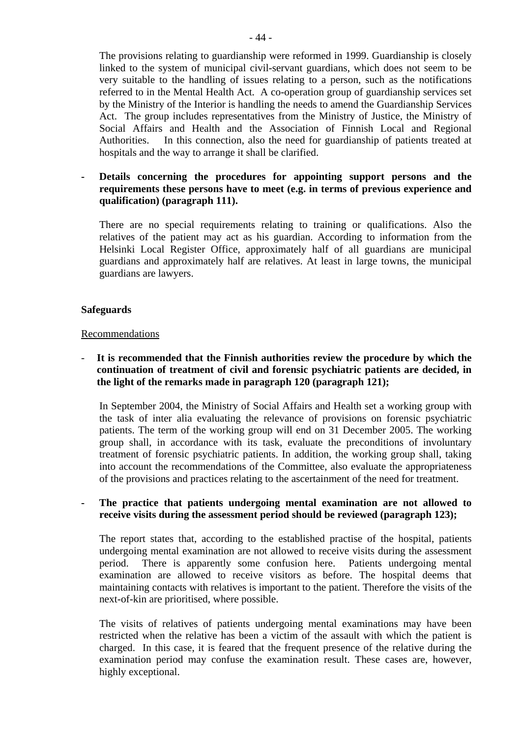The provisions relating to guardianship were reformed in 1999. Guardianship is closely linked to the system of municipal civil-servant guardians, which does not seem to be very suitable to the handling of issues relating to a person, such as the notifications referred to in the Mental Health Act. A co-operation group of guardianship services set by the Ministry of the Interior is handling the needs to amend the Guardianship Services Act. The group includes representatives from the Ministry of Justice, the Ministry of Social Affairs and Health and the Association of Finnish Local and Regional Authorities. In this connection, also the need for guardianship of patients treated at hospitals and the way to arrange it shall be clarified.

# **- Details concerning the procedures for appointing support persons and the requirements these persons have to meet (e.g. in terms of previous experience and qualification) (paragraph 111).**

There are no special requirements relating to training or qualifications. Also the relatives of the patient may act as his guardian. According to information from the Helsinki Local Register Office, approximately half of all guardians are municipal guardians and approximately half are relatives. At least in large towns, the municipal guardians are lawyers.

# **Safeguards**

# Recommendations

# - **It is recommended that the Finnish authorities review the procedure by which the continuation of treatment of civil and forensic psychiatric patients are decided, in the light of the remarks made in paragraph 120 (paragraph 121);**

In September 2004, the Ministry of Social Affairs and Health set a working group with the task of inter alia evaluating the relevance of provisions on forensic psychiatric patients. The term of the working group will end on 31 December 2005. The working group shall, in accordance with its task, evaluate the preconditions of involuntary treatment of forensic psychiatric patients. In addition, the working group shall, taking into account the recommendations of the Committee, also evaluate the appropriateness of the provisions and practices relating to the ascertainment of the need for treatment.

# **- The practice that patients undergoing mental examination are not allowed to receive visits during the assessment period should be reviewed (paragraph 123);**

The report states that, according to the established practise of the hospital, patients undergoing mental examination are not allowed to receive visits during the assessment period. There is apparently some confusion here. Patients undergoing mental examination are allowed to receive visitors as before. The hospital deems that maintaining contacts with relatives is important to the patient. Therefore the visits of the next-of-kin are prioritised, where possible.

The visits of relatives of patients undergoing mental examinations may have been restricted when the relative has been a victim of the assault with which the patient is charged. In this case, it is feared that the frequent presence of the relative during the examination period may confuse the examination result. These cases are, however, highly exceptional.